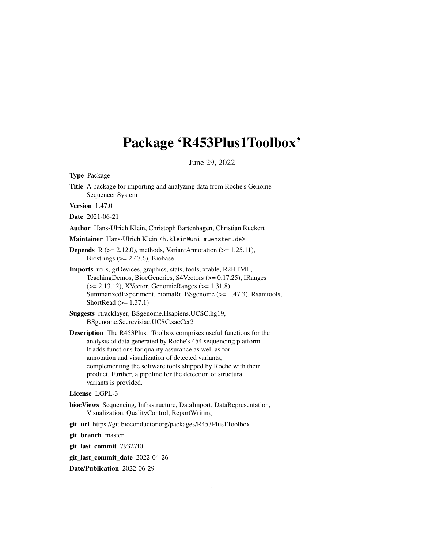# <span id="page-0-0"></span>Package 'R453Plus1Toolbox'

June 29, 2022

Type Package

Title A package for importing and analyzing data from Roche's Genome Sequencer System

Version 1.47.0

Date 2021-06-21

Author Hans-Ulrich Klein, Christoph Bartenhagen, Christian Ruckert

Maintainer Hans-Ulrich Klein <h.klein@uni-muenster.de>

- **Depends** R  $(>= 2.12.0)$ , methods, VariantAnnotation  $(>= 1.25.11)$ , Biostrings  $(>= 2.47.6)$ , Biobase
- Imports utils, grDevices, graphics, stats, tools, xtable, R2HTML, TeachingDemos, BiocGenerics, S4Vectors (>= 0.17.25), IRanges (>= 2.13.12), XVector, GenomicRanges (>= 1.31.8), SummarizedExperiment, biomaRt, BSgenome (>= 1.47.3), Rsamtools, ShortRead  $(>= 1.37.1)$
- Suggests rtracklayer, BSgenome.Hsapiens.UCSC.hg19, BSgenome.Scerevisiae.UCSC.sacCer2
- Description The R453Plus1 Toolbox comprises useful functions for the analysis of data generated by Roche's 454 sequencing platform. It adds functions for quality assurance as well as for annotation and visualization of detected variants, complementing the software tools shipped by Roche with their product. Further, a pipeline for the detection of structural variants is provided.

#### License LGPL-3

- biocViews Sequencing, Infrastructure, DataImport, DataRepresentation, Visualization, QualityControl, ReportWriting
- git\_url https://git.bioconductor.org/packages/R453Plus1Toolbox

git branch master

git\_last\_commit 79327f0

git\_last\_commit\_date 2022-04-26

Date/Publication 2022-06-29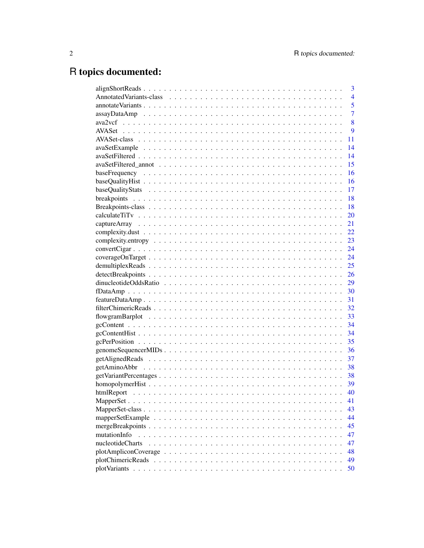# R topics documented:

|                                                                                                            | 3              |
|------------------------------------------------------------------------------------------------------------|----------------|
|                                                                                                            | $\overline{4}$ |
|                                                                                                            | 5              |
|                                                                                                            | $\overline{7}$ |
|                                                                                                            | 8              |
|                                                                                                            | 9              |
|                                                                                                            | 11             |
|                                                                                                            | 14             |
|                                                                                                            | 14             |
|                                                                                                            | 15             |
|                                                                                                            | 16             |
|                                                                                                            | 16             |
|                                                                                                            | 17             |
|                                                                                                            | 18             |
|                                                                                                            | 18             |
|                                                                                                            | 20             |
|                                                                                                            | 21             |
|                                                                                                            | 22             |
|                                                                                                            | 23             |
|                                                                                                            |                |
|                                                                                                            |                |
|                                                                                                            | 25             |
|                                                                                                            | 26             |
|                                                                                                            | 29             |
|                                                                                                            |                |
|                                                                                                            |                |
|                                                                                                            |                |
|                                                                                                            |                |
|                                                                                                            |                |
|                                                                                                            |                |
|                                                                                                            | 35             |
|                                                                                                            | 36             |
|                                                                                                            | 37             |
|                                                                                                            | 38             |
|                                                                                                            |                |
|                                                                                                            |                |
|                                                                                                            | 40             |
|                                                                                                            | 41             |
|                                                                                                            | 43             |
|                                                                                                            | 44             |
|                                                                                                            | 45             |
| mutationInfo                                                                                               | 47             |
| nucleotideCharts                                                                                           | 47             |
| $plotAmpliconCoverage \dots \dots \dots \dots \dots \dots \dots \dots \dots \dots \dots \dots \dots \dots$ | 48             |
|                                                                                                            | 49             |
|                                                                                                            | 50             |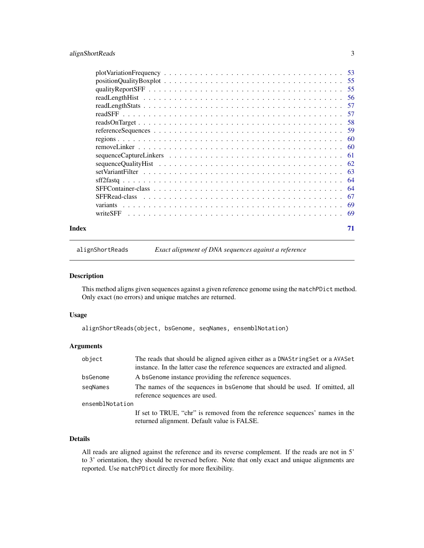# <span id="page-2-0"></span>alignShortReads 3

| Index | 71 |
|-------|----|

<span id="page-2-1"></span>alignShortReads *Exact alignment of DNA sequences against a reference*

#### Description

This method aligns given sequences against a given reference genome using the matchPDict method. Only exact (no errors) and unique matches are returned.

# Usage

alignShortReads(object, bsGenome, seqNames, ensemblNotation)

# Arguments

| object          | The reads that should be aligned agiven either as a DNAString Set or a AVASet<br>instance. In the latter case the reference sequences are extracted and aligned. |
|-----------------|------------------------------------------------------------------------------------------------------------------------------------------------------------------|
| bsGenome        | A bs Genome instance providing the reference sequences.                                                                                                          |
| segNames        | The names of the sequences in bsGenome that should be used. If omitted, all<br>reference sequences are used.                                                     |
| ensemblNotation |                                                                                                                                                                  |
|                 | If set to TRUE, "chr" is removed from the reference sequences' names in the<br>returned alignment. Default value is FALSE.                                       |

# Details

All reads are aligned against the reference and its reverse complement. If the reads are not in 5' to 3' orientation, they should be reversed before. Note that only exact and unique alignments are reported. Use matchPDict directly for more flexibility.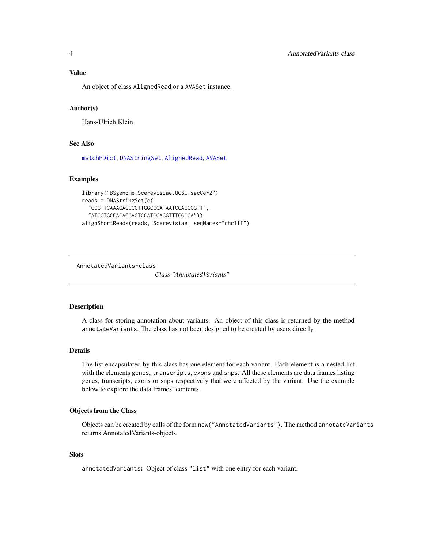<span id="page-3-0"></span>An object of class AlignedRead or a AVASet instance.

#### Author(s)

Hans-Ulrich Klein

#### See Also

[matchPDict](#page-0-0), [DNAStringSet](#page-0-0), [AlignedRead](#page-0-0), [AVASet](#page-8-1)

# Examples

```
library("BSgenome.Scerevisiae.UCSC.sacCer2")
reads = DNAStringSet(c(
  "CCGTTCAAAGAGCCCTTGGCCCATAATCCACCGGTT",
  "ATCCTGCCACAGGAGTCCATGGAGGTTTCGCCA"))
alignShortReads(reads, Scerevisiae, seqNames="chrIII")
```
<span id="page-3-1"></span>AnnotatedVariants-class

*Class "AnnotatedVariants"*

#### Description

A class for storing annotation about variants. An object of this class is returned by the method annotateVariants. The class has not been designed to be created by users directly.

#### Details

The list encapsulated by this class has one element for each variant. Each element is a nested list with the elements genes, transcripts, exons and snps. All these elements are data frames listing genes, transcripts, exons or snps respectively that were affected by the variant. Use the example below to explore the data frames' contents.

#### Objects from the Class

Objects can be created by calls of the form new ("AnnotatedVariants"). The method annotateVariants returns AnnotatedVariants-objects.

#### **Slots**

annotatedVariants: Object of class "list" with one entry for each variant.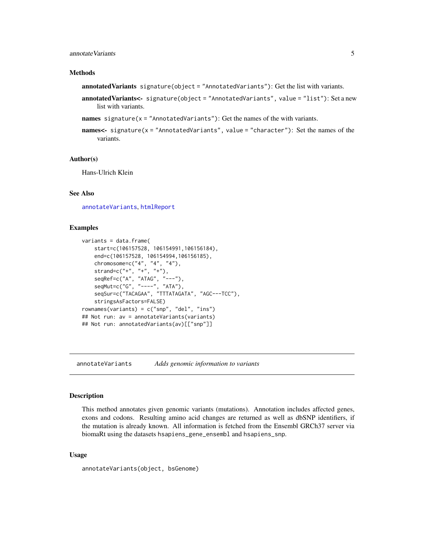## <span id="page-4-0"></span>annotateVariants 5

#### Methods

annotatedVariants signature(object = "AnnotatedVariants"): Get the list with variants.

- annotatedVariants<- signature(object = "AnnotatedVariants", value = "list"): Set a new list with variants.
- names signature( $x =$  "AnnotatedVariants"): Get the names of the with variants.
- names<- signature(x = "AnnotatedVariants", value = "character"): Set the names of the variants.

# Author(s)

Hans-Ulrich Klein

#### See Also

[annotateVariants](#page-4-1), [htmlReport](#page-39-1)

#### Examples

```
variants = data.frame(start=c(106157528, 106154991,106156184),
   end=c(106157528, 106154994,106156185),
   chromosome=c("4", "4", "4"),
    strand=c("+", "+", "+"),
    seqRef=c("A", "ATAG", "---"),
    seqMut=c("G", "----", "ATA"),
    seqSur=c("TACAGAA", "TTTATAGATA", "AGC---TCC"),
    stringsAsFactors=FALSE)
rownames(variants) = c("snp", "del", "ins")
## Not run: av = annotateVariants(variants)
## Not run: annotatedVariants(av)[["snp"]]
```
<span id="page-4-1"></span>annotateVariants *Adds genomic information to variants*

#### Description

This method annotates given genomic variants (mutations). Annotation includes affected genes, exons and codons. Resulting amino acid changes are returned as well as dbSNP identifiers, if the mutation is already known. All information is fetched from the Ensembl GRCh37 server via biomaRt using the datasets hsapiens\_gene\_ensembl and hsapiens\_snp.

#### Usage

```
annotateVariants(object, bsGenome)
```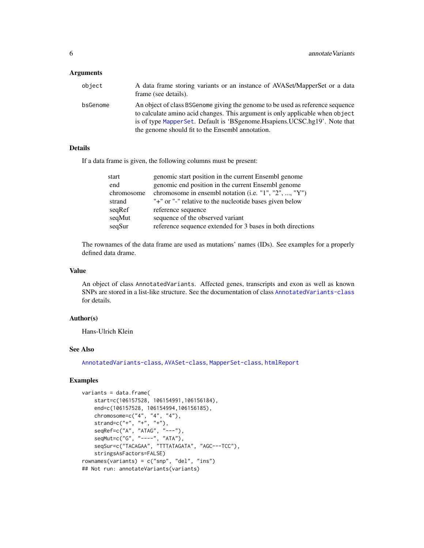#### **Arguments**

| object   | A data frame storing variants or an instance of AVASet/MapperSet or a data<br>frame (see details).                                                              |
|----------|-----------------------------------------------------------------------------------------------------------------------------------------------------------------|
| bsGenome | An object of class BSGenome giving the genome to be used as reference sequence<br>to calculate amino acid changes. This argument is only applicable when object |
|          | is of type MapperSet. Default is 'BSgenome. Hisapiens. UCSC.hg19'. Note that<br>the genome should fit to the Ensembl annotation.                                |

# Details

If a data frame is given, the following columns must be present:

| genomic start position in the current Ensembl genome<br>start         |  |
|-----------------------------------------------------------------------|--|
| genomic end position in the current Ensembl genome<br>end             |  |
| chromosome in ensembl notation (i.e. $"1", "2", , "Y")$<br>chromosome |  |
| "+" or "-" relative to the nucleotide bases given below<br>strand     |  |
| seqRef<br>reference sequence                                          |  |
| seqMut<br>sequence of the observed variant                            |  |
| seqSur<br>reference sequence extended for 3 bases in both directions  |  |

The rownames of the data frame are used as mutations' names (IDs). See examples for a properly defined data drame.

# Value

An object of class AnnotatedVariants. Affected genes, transcripts and exon as well as known SNPs are stored in a list-like structure. See the documentation of class [AnnotatedVariants-class](#page-3-1) for details.

## Author(s)

Hans-Ulrich Klein

# See Also

[AnnotatedVariants-class](#page-3-1), [AVASet-class](#page-10-1), [MapperSet-class](#page-42-1), [htmlReport](#page-39-1)

# Examples

```
variants = data.frame(
   start=c(106157528, 106154991,106156184),
   end=c(106157528, 106154994,106156185),
    chromosome=c("4", "4", "4"),
    strand=c("+", "+", "+"),
    seqRef=c("A", "ATAG", "---"),
    seqMut=c("G", "----", "ATA"),
    seqSur=c("TACAGAA", "TTTATAGATA", "AGC---TCC"),
   stringsAsFactors=FALSE)
rownames(variants) = c("snp", "del", "ins")
## Not run: annotateVariants(variants)
```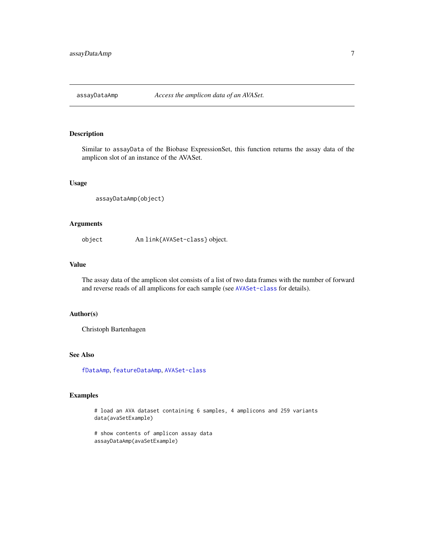<span id="page-6-1"></span><span id="page-6-0"></span>

Similar to assayData of the Biobase ExpressionSet, this function returns the assay data of the amplicon slot of an instance of the AVASet.

# Usage

assayDataAmp(object)

# Arguments

object An link{AVASet-class} object.

#### Value

The assay data of the amplicon slot consists of a list of two data frames with the number of forward and reverse reads of all amplicons for each sample (see [AVASet-class](#page-10-1) for details).

#### Author(s)

Christoph Bartenhagen

#### See Also

[fDataAmp](#page-29-1), [featureDataAmp](#page-30-1), [AVASet-class](#page-10-1)

# Examples

# load an AVA dataset containing 6 samples, 4 amplicons and 259 variants data(avaSetExample)

# show contents of amplicon assay data assayDataAmp(avaSetExample)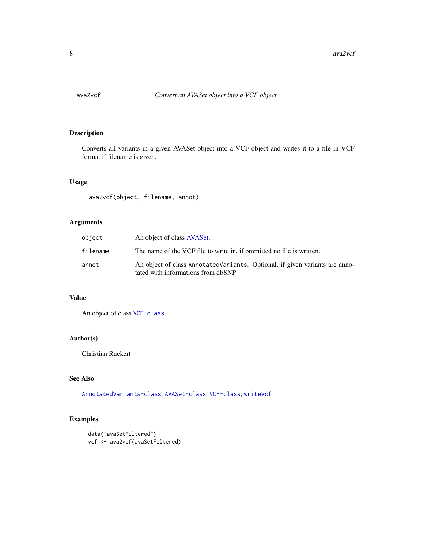<span id="page-7-0"></span>

Converts all variants in a given AVASet object into a VCF object and writes it to a file in VCF format if filename is given.

## Usage

ava2vcf(object, filename, annot)

# Arguments

| object   | An object of class AVASet.                                                                                         |
|----------|--------------------------------------------------------------------------------------------------------------------|
| filename | The name of the VCF file to write in, if ommitted no file is written.                                              |
| annot    | An object of class AnnotatedVariants. Optional, if given variants are anno-<br>tated with informations from dbSNP. |

# Value

An object of class [VCF-class](#page-0-0)

# Author(s)

Christian Ruckert

## See Also

[AnnotatedVariants-class](#page-3-1), [AVASet-class](#page-10-1), [VCF-class](#page-0-0), [writeVcf](#page-0-0)

# Examples

```
data("avaSetFiltered")
vcf <- ava2vcf(avaSetFiltered)
```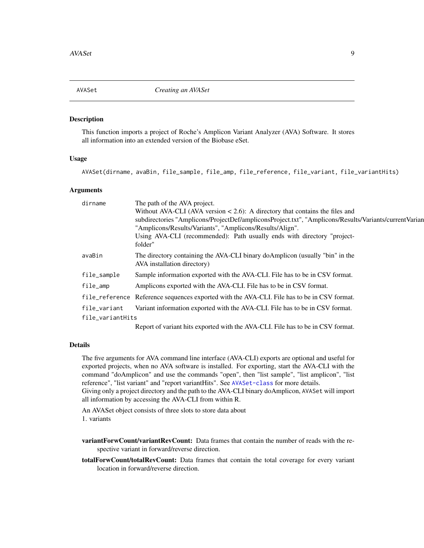<span id="page-8-1"></span><span id="page-8-0"></span>

This function imports a project of Roche's Amplicon Variant Analyzer (AVA) Software. It stores all information into an extended version of the Biobase eSet.

#### Usage

AVASet(dirname, avaBin, file\_sample, file\_amp, file\_reference, file\_variant, file\_variantHits)

# Arguments

| dirname          | The path of the AVA project.                                                                                |
|------------------|-------------------------------------------------------------------------------------------------------------|
|                  | Without AVA-CLI (AVA version $< 2.6$ ): A directory that contains the files and                             |
|                  | subdirectories "Amplicons/ProjectDef/ampliconsProject.txt", "Amplicons/Results/Variants/currentVarian       |
|                  | "Amplicons/Results/Variants", "Amplicons/Results/Align".                                                    |
|                  | Using AVA-CLI (recommended): Path usually ends with directory "project-<br>folder"                          |
| avaBin           | The directory containing the AVA-CLI binary doAmplicon (usually "bin" in the<br>AVA installation directory) |
| file_sample      | Sample information exported with the AVA-CLI. File has to be in CSV format.                                 |
| file_amp         | Amplicons exported with the AVA-CLI. File has to be in CSV format.                                          |
|                  | file_reference Reference sequences exported with the AVA-CLI. File has to be in CSV format.                 |
| file_variant     | Variant information exported with the AVA-CLI. File has to be in CSV format.                                |
| file_variantHits |                                                                                                             |
|                  | Report of variant hits exported with the AVA CLI File has to be in CSV format                               |

Report of variant hits exported with the AVA-CLI. File has to be in CSV format.

#### Details

The five arguments for AVA command line interface (AVA-CLI) exports are optional and useful for exported projects, when no AVA software is installed. For exporting, start the AVA-CLI with the command "doAmplicon" and use the commands "open", then "list sample", "list amplicon", "list reference", "list variant" and "report variantHits". See [AVASet-class](#page-10-1) for more details. Giving only a project directory and the path to the AVA-CLI binary doAmplicon, AVASet will import all information by accessing the AVA-CLI from within R.

An AVASet object consists of three slots to store data about 1. variants

variantForwCount/variantRevCount: Data frames that contain the number of reads with the respective variant in forward/reverse direction.

totalForwCount/totalRevCount: Data frames that contain the total coverage for every variant location in forward/reverse direction.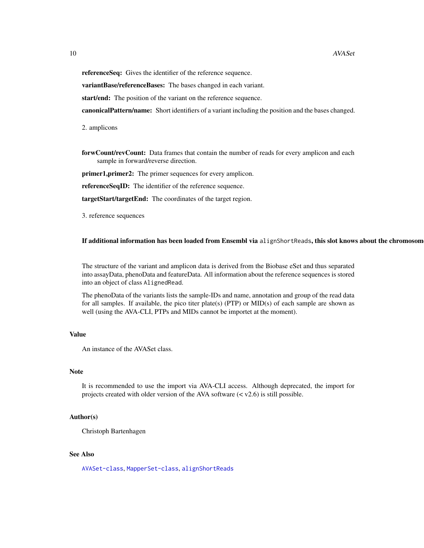referenceSeq: Gives the identifier of the reference sequence.

variantBase/referenceBases: The bases changed in each variant.

start/end: The position of the variant on the reference sequence.

canonicalPattern/name: Short identifiers of a variant including the position and the bases changed.

2. amplicons

forwCount/revCount: Data frames that contain the number of reads for every amplicon and each sample in forward/reverse direction.

primer1, primer2: The primer sequences for every amplicon.

referenceSeqID: The identifier of the reference sequence.

targetStart/targetEnd: The coordinates of the target region.

3. reference sequences

If additional information has been loaded from Ensembl via alignShortReads, this slot knows about the chromosom

The structure of the variant and amplicon data is derived from the Biobase eSet and thus separated into assayData, phenoData and featureData. All information about the reference sequences is stored into an object of class AlignedRead.

The phenoData of the variants lists the sample-IDs and name, annotation and group of the read data for all samples. If available, the pico titer plate(s) (PTP) or MID(s) of each sample are shown as well (using the AVA-CLI, PTPs and MIDs cannot be importet at the moment).

# Value

An instance of the AVASet class.

#### Note

It is recommended to use the import via AVA-CLI access. Although deprecated, the import for projects created with older version of the AVA software  $(< v2.6)$  is still possible.

#### Author(s)

Christoph Bartenhagen

# See Also

[AVASet-class](#page-10-1), [MapperSet-class](#page-42-1), [alignShortReads](#page-2-1)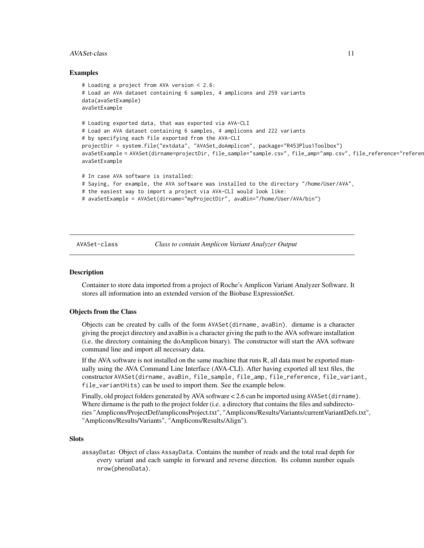#### <span id="page-10-0"></span>AVASet-class 11

#### Examples

```
# Loading a project from AVA version < 2.6:
# Load an AVA dataset containing 6 samples, 4 amplicons and 259 variants
data(avaSetExample)
avaSetExample
# Loading exported data, that was exported via AVA-CLI
# Load an AVA dataset containing 6 samples, 4 amplicons and 222 variants
# by specifying each file exported from the AVA-CLI
projectDir = system.file("extdata", "AVASet_doAmplicon", package="R453Plus1Toolbox")
avaSetExample = AVASet(dirname=projectDir, file_sample="sample.csv", file_amp="amp.csv", file_reference="referer
avaSetExample
# In case AVA software is installed:
# Saying, for example, the AVA software was installed to the directory "/home/User/AVA",
# the easiest way to import a project via AVA-CLI would look like:
# avaSetExample = AVASet(dirname="myProjectDir", avaBin="/home/User/AVA/bin")
```
<span id="page-10-1"></span>

AVASet-class *Class to contain Amplicon Variant Analyzer Output*

#### **Description**

Container to store data imported from a project of Roche's Amplicon Variant Analyzer Software. It stores all information into an extended version of the Biobase ExpressionSet.

#### Objects from the Class

Objects can be created by calls of the form AVASet(dirname, avaBin). dirname is a character giving the proejct directory and avaBin is a character giving the path to the AVA software installation (i.e. the directory containing the doAmplicon binary). The constructor will start the AVA software command line and import all necessary data.

If the AVA software is not installed on the same machine that runs R, all data must be exported manually using the AVA Command Line Interface (AVA-CLI). After having exported all text files, the constructor AVASet(dirname, avaBin, file\_sample, file\_amp, file\_reference, file\_variant, file\_variantHits) can be used to import them. See the example below.

Finally, old project folders generated by AVA software < 2.6 can be imported using AVASet (dirname). Where dirname is the path to the project folder (i.e. a directory that contains the files and subdirectories "Amplicons/ProjectDef/ampliconsProject.txt", "Amplicons/Results/Variants/currentVariantDefs.txt", "Amplicons/Results/Variants", "Amplicons/Results/Align").

#### **Slots**

assayData: Object of class AssayData. Contains the number of reads and the total read depth for every variant and each sample in forward and reverse direction. Its column number equals nrow(phenoData).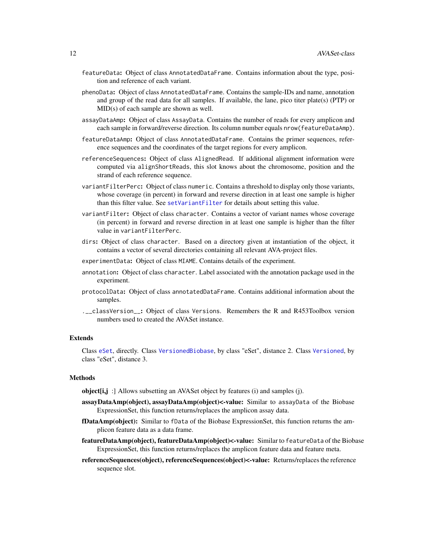- featureData: Object of class AnnotatedDataFrame. Contains information about the type, position and reference of each variant.
- phenoData: Object of class AnnotatedDataFrame. Contains the sample-IDs and name, annotation and group of the read data for all samples. If available, the lane, pico titer plate(s) (PTP) or MID(s) of each sample are shown as well.
- assayDataAmp: Object of class AssayData. Contains the number of reads for every amplicon and each sample in forward/reverse direction. Its column number equals nrow(featureDataAmp).
- featureDataAmp: Object of class AnnotatedDataFrame. Contains the primer sequences, reference sequences and the coordinates of the target regions for every amplicon.
- referenceSequences: Object of class AlignedRead. If additional alignment information were computed via alignShortReads, this slot knows about the chromosome, position and the strand of each reference sequence.
- variantFilterPerc: Object of class numeric. Contains a threshold to display only those variants, whose coverage (in percent) in forward and reverse direction in at least one sample is higher than this filter value. See [setVariantFilter](#page-62-1) for details about setting this value.
- variantFilter: Object of class character. Contains a vector of variant names whose coverage (in percent) in forward and reverse direction in at least one sample is higher than the filter value in variantFilterPerc.
- dirs: Object of class character. Based on a directory given at instantiation of the object, it contains a vector of several directories containing all relevant AVA-project files.
- experimentData: Object of class MIAME. Contains details of the experiment.
- annotation: Object of class character. Label associated with the annotation package used in the experiment.
- protocolData: Object of class annotatedDataFrame. Contains additional information about the samples.
- .\_\_classVersion\_\_: Object of class Versions. Remembers the R and R453Toolbox version numbers used to created the AVASet instance.

#### Extends

Class [eSet](#page-0-0), directly. Class [VersionedBiobase](#page-0-0), by class "eSet", distance 2. Class [Versioned](#page-0-0), by class "eSet", distance 3.

#### **Methods**

object[i,j :] Allows subsetting an AVASet object by features (i) and samples (j).

- assayDataAmp(object), assayDataAmp(object)<-value: Similar to assayData of the Biobase ExpressionSet, this function returns/replaces the amplicon assay data.
- fDataAmp(object): Similar to fData of the Biobase ExpressionSet, this function returns the amplicon feature data as a data frame.
- featureDataAmp(object), featureDataAmp(object)<-value: Similar to featureData of the Biobase ExpressionSet, this function returns/replaces the amplicon feature data and feature meta.
- referenceSequences(object), referenceSequences(object)<-value: Returns/replaces the reference sequence slot.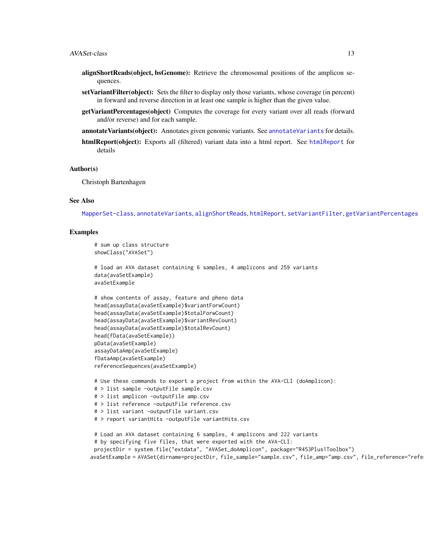- alignShortReads(object, bsGenome): Retrieve the chromosomal positions of the amplicon sequences.
- setVariantFilter(object): Sets the filter to display only those variants, whose coverage (in percent) in forward and reverse direction in at least one sample is higher than the given value.
- getVariantPercentages(object) Computes the coverage for every variant over all reads (forward and/or reverse) and for each sample.
- **[annotateVariants](#page-4-1)(object):** Annotates given genomic variants. See annotateVariants for details.
- [htmlReport](#page-39-1)(object): Exports all (filtered) variant data into a html report. See htmlReport for details

#### Author(s)

Christoph Bartenhagen

#### See Also

[MapperSet-class](#page-42-1), [annotateVariants](#page-4-1), [alignShortReads](#page-2-1), [htmlReport](#page-39-1), [setVariantFilter](#page-62-1), [getVariantPercentages](#page-37-1)

#### Examples

```
# sum up class structure
showClass("AVASet")
```

```
# load an AVA dataset containing 6 samples, 4 amplicons and 259 variants
data(avaSetExample)
avaSetExample
```

```
# show contents of assay, feature and pheno data
head(assayData(avaSetExample)$variantForwCount)
head(assayData(avaSetExample)$totalForwCount)
head(assayData(avaSetExample)$variantRevCount)
head(assayData(avaSetExample)$totalRevCount)
head(fData(avaSetExample))
pData(avaSetExample)
assayDataAmp(avaSetExample)
fDataAmp(avaSetExample)
referenceSequences(avaSetExample)
```

```
# Use these commands to export a project from within the AVA-CLI (doAmplicon):
# > list sample -outputFile sample.csv
# > list amplicon -outputFile amp.csv
# > list reference -outputFile reference.csv
# > list variant -outputFile variant.csv
# > report variantHits -outputFile variantHits.csv
# Load an AVA dataset containing 6 samples, 4 amplicons and 222 variants
```

```
# by specifying five files, that were exported with the AVA-CLI:
 projectDir = system.file("extdata", "AVASet_doAmplicon", package="R453Plus1Toolbox")
avaSetExample = AVASet(dirname=projectDir, file_sample="sample.csv", file_amp="amp.csv", file_reference="refe
```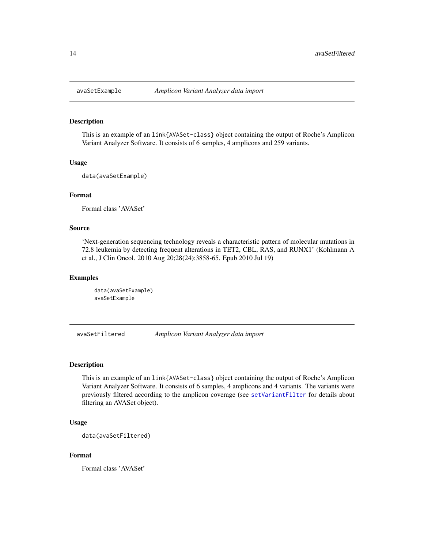<span id="page-13-0"></span>

This is an example of an link{AVASet-class} object containing the output of Roche's Amplicon Variant Analyzer Software. It consists of 6 samples, 4 amplicons and 259 variants.

#### Usage

data(avaSetExample)

#### Format

Formal class 'AVASet'

#### Source

'Next-generation sequencing technology reveals a characteristic pattern of molecular mutations in 72.8 leukemia by detecting frequent alterations in TET2, CBL, RAS, and RUNX1' (Kohlmann A et al., J Clin Oncol. 2010 Aug 20;28(24):3858-65. Epub 2010 Jul 19)

#### Examples

```
data(avaSetExample)
avaSetExample
```
avaSetFiltered *Amplicon Variant Analyzer data import*

#### Description

This is an example of an link{AVASet-class} object containing the output of Roche's Amplicon Variant Analyzer Software. It consists of 6 samples, 4 amplicons and 4 variants. The variants were previously filtered according to the amplicon coverage (see [setVariantFilter](#page-62-1) for details about filtering an AVASet object).

# Usage

```
data(avaSetFiltered)
```
#### Format

Formal class 'AVASet'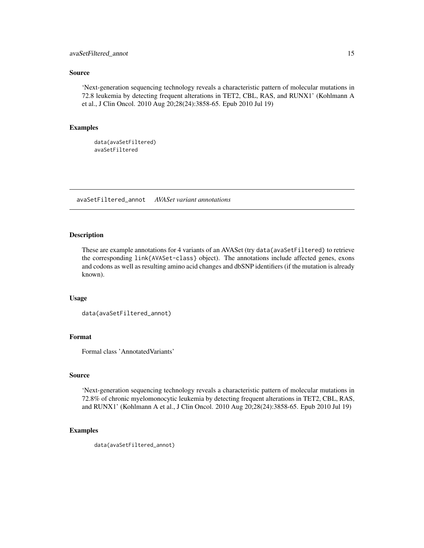# <span id="page-14-0"></span>avaSetFiltered\_annot 15

#### Source

'Next-generation sequencing technology reveals a characteristic pattern of molecular mutations in 72.8 leukemia by detecting frequent alterations in TET2, CBL, RAS, and RUNX1' (Kohlmann A et al., J Clin Oncol. 2010 Aug 20;28(24):3858-65. Epub 2010 Jul 19)

#### Examples

data(avaSetFiltered) avaSetFiltered

avaSetFiltered\_annot *AVASet variant annotations*

#### Description

These are example annotations for 4 variants of an AVASet (try data(avaSetFiltered) to retrieve the corresponding link{AVASet-class} object). The annotations include affected genes, exons and codons as well as resulting amino acid changes and dbSNP identifiers (if the mutation is already known).

#### Usage

```
data(avaSetFiltered_annot)
```
# Format

Formal class 'AnnotatedVariants'

#### Source

'Next-generation sequencing technology reveals a characteristic pattern of molecular mutations in 72.8% of chronic myelomonocytic leukemia by detecting frequent alterations in TET2, CBL, RAS, and RUNX1' (Kohlmann A et al., J Clin Oncol. 2010 Aug 20;28(24):3858-65. Epub 2010 Jul 19)

#### Examples

data(avaSetFiltered\_annot)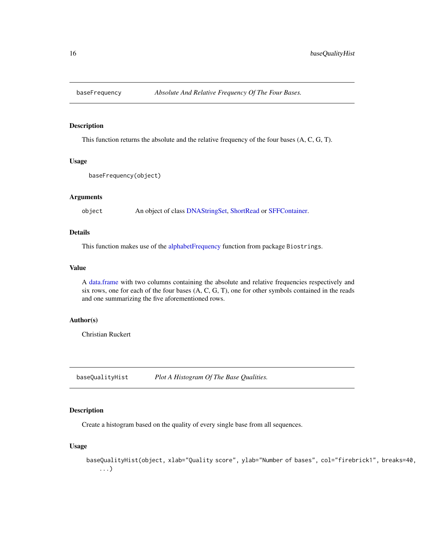<span id="page-15-0"></span>

This function returns the absolute and the relative frequency of the four bases (A, C, G, T).

#### Usage

```
baseFrequency(object)
```
#### Arguments

object An object of class [DNAStringSet,](#page-0-0) [ShortRead](#page-0-0) or [SFFContainer.](#page-63-1)

# Details

This function makes use of the [alphabetFrequency](#page-0-0) function from package Biostrings.

#### Value

A [data.frame](#page-0-0) with two columns containing the absolute and relative frequencies respectively and six rows, one for each of the four bases (A, C, G, T), one for other symbols contained in the reads and one summarizing the five aforementioned rows.

# Author(s)

Christian Ruckert

baseQualityHist *Plot A Histogram Of The Base Qualities.*

# Description

Create a histogram based on the quality of every single base from all sequences.

#### Usage

```
baseQualityHist(object, xlab="Quality score", ylab="Number of bases", col="firebrick1", breaks=40,
   ...)
```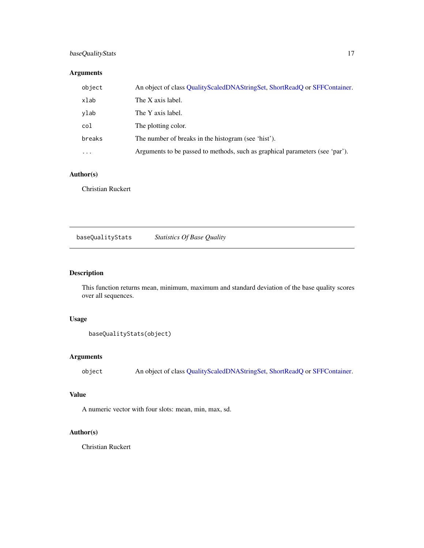# <span id="page-16-0"></span>baseQualityStats 17

# Arguments

| object   | An object of class QualityScaledDNAStringSet, ShortReadQ or SFFContainer.    |
|----------|------------------------------------------------------------------------------|
| xlab     | The X axis label.                                                            |
| ylab     | The Y axis label.                                                            |
| col      | The plotting color.                                                          |
| breaks   | The number of breaks in the histogram (see 'hist').                          |
| $\cdots$ | Arguments to be passed to methods, such as graphical parameters (see 'par'). |

# Author(s)

Christian Ruckert

baseQualityStats *Statistics Of Base Quality*

# Description

This function returns mean, minimum, maximum and standard deviation of the base quality scores over all sequences.

# Usage

```
baseQualityStats(object)
```
# Arguments

object An object of class [QualityScaledDNAStringSet,](#page-0-0) [ShortReadQ](#page-0-0) or [SFFContainer.](#page-63-1)

# Value

A numeric vector with four slots: mean, min, max, sd.

# Author(s)

Christian Ruckert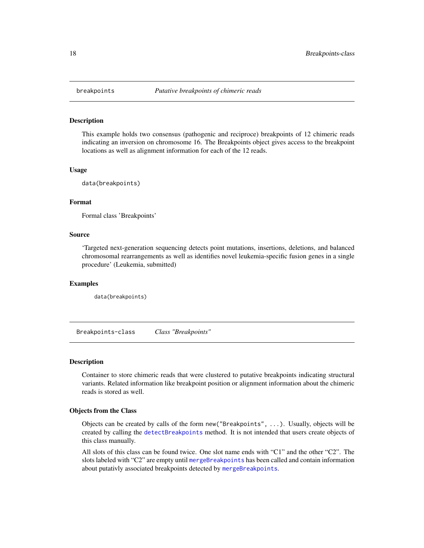<span id="page-17-0"></span>

This example holds two consensus (pathogenic and reciproce) breakpoints of 12 chimeric reads indicating an inversion on chromosome 16. The Breakpoints object gives access to the breakpoint locations as well as alignment information for each of the 12 reads.

#### Usage

data(breakpoints)

## Format

Formal class 'Breakpoints'

#### Source

'Targeted next-generation sequencing detects point mutations, insertions, deletions, and balanced chromosomal rearrangements as well as identifies novel leukemia-specific fusion genes in a single procedure' (Leukemia, submitted)

#### Examples

data(breakpoints)

<span id="page-17-1"></span>Breakpoints-class *Class "Breakpoints"*

## Description

Container to store chimeric reads that were clustered to putative breakpoints indicating structural variants. Related information like breakpoint position or alignment information about the chimeric reads is stored as well.

#### Objects from the Class

Objects can be created by calls of the form new("Breakpoints", ...). Usually, objects will be created by calling the [detectBreakpoints](#page-25-1) method. It is not intended that users create objects of this class manually.

All slots of this class can be found twice. One slot name ends with "C1" and the other "C2". The slots labeled with "C2" are empty until [mergeBreakpoints](#page-44-1) has been called and contain information about putativly associated breakpoints detected by [mergeBreakpoints](#page-44-1).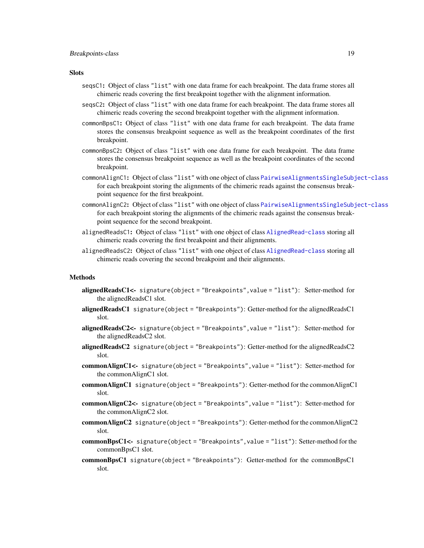#### **Slots**

- seqsC1: Object of class "list" with one data frame for each breakpoint. The data frame stores all chimeric reads covering the first breakpoint together with the alignment information.
- seqsC2: Object of class "list" with one data frame for each breakpoint. The data frame stores all chimeric reads covering the second breakpoint together with the alignment information.
- commonBpsC1: Object of class "list" with one data frame for each breakpoint. The data frame stores the consensus breakpoint sequence as well as the breakpoint coordinates of the first breakpoint.
- commonBpsC2: Object of class "list" with one data frame for each breakpoint. The data frame stores the consensus breakpoint sequence as well as the breakpoint coordinates of the second breakpoint.
- commonAlignC1: Object of class "list" with one object of class [PairwiseAlignmentsSingleSubject-class](#page-0-0) for each breakpoint storing the alignments of the chimeric reads against the consensus breakpoint sequence for the first breakpoint.
- commonAlignC2: Object of class "list" with one object of class [PairwiseAlignmentsSingleSubject-class](#page-0-0) for each breakpoint storing the alignments of the chimeric reads against the consensus breakpoint sequence for the second breakpoint.
- alignedReadsC1: Object of class "list" with one object of class [AlignedRead-class](#page-0-0) storing all chimeric reads covering the first breakpoint and their alignments.
- alignedReadsC2: Object of class "list" with one object of class [AlignedRead-class](#page-0-0) storing all chimeric reads covering the second breakpoint and their alignments.

#### Methods

- alignedReadsC1<- signature(object = "Breakpoints", value = "list"): Setter-method for the alignedReadsC1 slot.
- **alignedReadsC1** signature(object = "Breakpoints"): Getter-method for the alignedReadsC1 slot.
- alignedReadsC2<- signature(object = "Breakpoints", value = "list"): Setter-method for the alignedReadsC2 slot.
- alignedReadsC2 signature(object = "Breakpoints"): Getter-method for the alignedReadsC2 slot.
- commonAlignC1<- signature(object = "Breakpoints",value = "list"): Setter-method for the commonAlignC1 slot.
- commonAlignC1 signature(object = "Breakpoints"): Getter-method for the commonAlignC1 slot.
- commonAlignC2<- signature(object = "Breakpoints",value = "list"): Setter-method for the commonAlignC2 slot.
- commonAlignC2 signature(object = "Breakpoints"): Getter-method for the commonAlignC2 slot.
- commonBpsC1<- signature(object = "Breakpoints",value = "list"): Setter-method for the commonBpsC1 slot.
- commonBpsC1 signature(object = "Breakpoints"): Getter-method for the commonBpsC1 slot.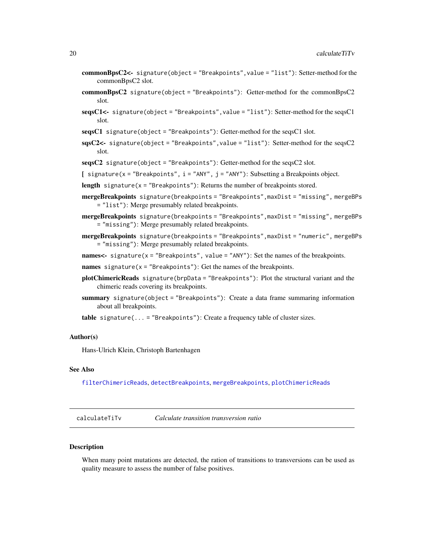- <span id="page-19-0"></span>commonBpsC2<- signature(object = "Breakpoints",value = "list"): Setter-method for the commonBpsC2 slot.
- commonBpsC2 signature(object = "Breakpoints"): Getter-method for the commonBpsC2 slot.
- $segsC1$  <- signature(object = "Breakpoints", value = "list"): Setter-method for the seqsC1 slot.
- $segsC1$  signature(object = "Breakpoints"): Getter-method for the seqs $C1$  slot.
- $sgsC2$  signature(object = "Breakpoints", value = "list"): Setter-method for the seqs $C2$ slot.
- $segsC2$  signature(object = "Breakpoints"): Getter-method for the seqs $C2$  slot.

[ signature( $x =$  "Breakpoints",  $i =$  "ANY",  $j =$  "ANY"): Subsetting a Breakpoints object.

- length signature( $x =$  "Breakpoints"): Returns the number of breakpoints stored.
- mergeBreakpoints signature(breakpoints = "Breakpoints", maxDist = "missing", mergeBPs = "list"): Merge presumably related breakpoints.
- mergeBreakpoints signature(breakpoints = "Breakpoints", maxDist = "missing", mergeBPs = "missing"): Merge presumably related breakpoints.
- mergeBreakpoints signature(breakpoints = "Breakpoints",maxDist = "numeric", mergeBPs = "missing"): Merge presumably related breakpoints.

names<- signature( $x =$  "Breakpoints", value = "ANY"): Set the names of the breakpoints.

- names signature( $x =$  "Breakpoints"): Get the names of the breakpoints.
- plotChimericReads signature(brpData = "Breakpoints"): Plot the structural variant and the chimeric reads covering its breakpoints.
- summary signature(object = "Breakpoints"): Create a data frame summaring information about all breakpoints.
- **table** signature( $\ldots$  = "Breakpoints"): Create a frequency table of cluster sizes.

#### Author(s)

Hans-Ulrich Klein, Christoph Bartenhagen

# See Also

[filterChimericReads](#page-31-1), [detectBreakpoints](#page-25-1), [mergeBreakpoints](#page-44-1), [plotChimericReads](#page-48-1)

calculateTiTv *Calculate transition transversion ratio*

#### **Description**

When many point mutations are detected, the ration of transitions to transversions can be used as quality measure to assess the number of false positives.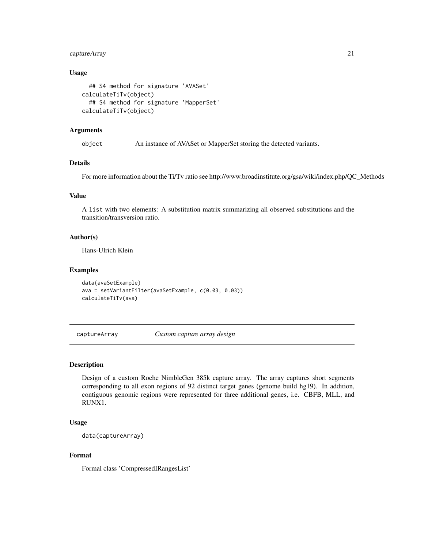# <span id="page-20-0"></span>captureArray 21

#### Usage

```
## S4 method for signature 'AVASet'
calculateTiTv(object)
  ## S4 method for signature 'MapperSet'
calculateTiTv(object)
```
#### Arguments

object An instance of AVASet or MapperSet storing the detected variants.

# Details

For more information about the Ti/Tv ratio see http://www.broadinstitute.org/gsa/wiki/index.php/QC\_Methods

# Value

A list with two elements: A substitution matrix summarizing all observed substitutions and the transition/transversion ratio.

#### Author(s)

Hans-Ulrich Klein

#### Examples

```
data(avaSetExample)
ava = setVariantFilter(avaSetExample, c(0.03, 0.03))
calculateTiTv(ava)
```
captureArray *Custom capture array design*

#### Description

Design of a custom Roche NimbleGen 385k capture array. The array captures short segments corresponding to all exon regions of 92 distinct target genes (genome build hg19). In addition, contiguous genomic regions were represented for three additional genes, i.e. CBFB, MLL, and RUNX1.

# Usage

data(captureArray)

## Format

Formal class 'CompressedIRangesList'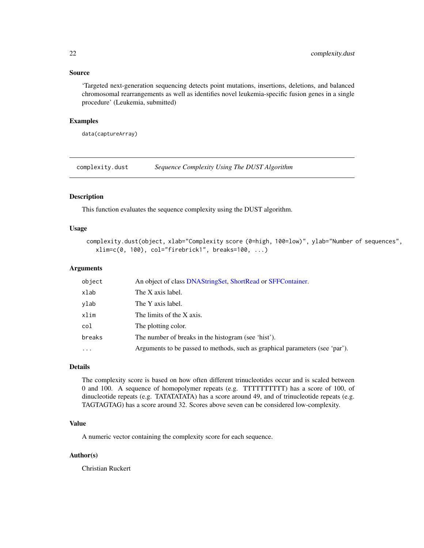# <span id="page-21-0"></span>Source

'Targeted next-generation sequencing detects point mutations, insertions, deletions, and balanced chromosomal rearrangements as well as identifies novel leukemia-specific fusion genes in a single procedure' (Leukemia, submitted)

# Examples

data(captureArray)

complexity.dust *Sequence Complexity Using The DUST Algorithm*

#### Description

This function evaluates the sequence complexity using the DUST algorithm.

#### Usage

```
complexity.dust(object, xlab="Complexity score (0=high, 100=low)", ylab="Number of sequences",
  xlim=c(0, 100), col="firebrick1", breaks=100, ...)
```
#### Arguments

| object   | An object of class DNAStringSet, ShortRead or SFFContainer.                  |
|----------|------------------------------------------------------------------------------|
| xlab     | The X axis label.                                                            |
| ylab     | The Y axis label.                                                            |
| xlim     | The limits of the X axis.                                                    |
| col      | The plotting color.                                                          |
| breaks   | The number of breaks in the histogram (see 'hist').                          |
| $\cdots$ | Arguments to be passed to methods, such as graphical parameters (see 'par'). |

#### Details

The complexity score is based on how often different trinucleotides occur and is scaled between 0 and 100. A sequence of homopolymer repeats (e.g. TTTTTTTTTT) has a score of 100, of dinucleotide repeats (e.g. TATATATATA) has a score around 49, and of trinucleotide repeats (e.g. TAGTAGTAG) has a score around 32. Scores above seven can be considered low-complexity.

#### Value

A numeric vector containing the complexity score for each sequence.

## Author(s)

Christian Ruckert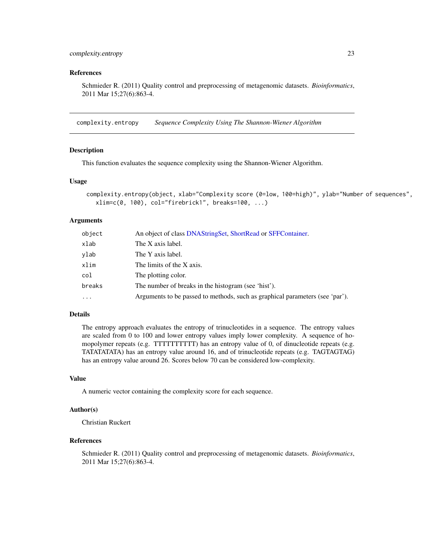# <span id="page-22-0"></span>complexity.entropy 23

#### References

Schmieder R. (2011) Quality control and preprocessing of metagenomic datasets. *Bioinformatics*, 2011 Mar 15;27(6):863-4.

complexity.entropy *Sequence Complexity Using The Shannon-Wiener Algorithm*

#### Description

This function evaluates the sequence complexity using the Shannon-Wiener Algorithm.

#### Usage

```
complexity.entropy(object, xlab="Complexity score (0=low, 100=high)", ylab="Number of sequences",
  xlim=c(0, 100), col="firebrick1", breaks=100, ...)
```
#### Arguments

| object     | An object of class DNAStringSet, ShortRead or SFFContainer.                  |
|------------|------------------------------------------------------------------------------|
| xlab       | The X axis label.                                                            |
| ylab       | The Y axis label.                                                            |
| xlim       | The limits of the X axis.                                                    |
| col        | The plotting color.                                                          |
| breaks     | The number of breaks in the histogram (see 'hist').                          |
| $\ddots$ . | Arguments to be passed to methods, such as graphical parameters (see 'par'). |

#### Details

The entropy approach evaluates the entropy of trinucleotides in a sequence. The entropy values are scaled from 0 to 100 and lower entropy values imply lower complexity. A sequence of homopolymer repeats (e.g. TTTTTTTTTT) has an entropy value of 0, of dinucleotide repeats (e.g. TATATATATA) has an entropy value around 16, and of trinucleotide repeats (e.g. TAGTAGTAG) has an entropy value around 26. Scores below 70 can be considered low-complexity.

# Value

A numeric vector containing the complexity score for each sequence.

#### Author(s)

Christian Ruckert

#### References

Schmieder R. (2011) Quality control and preprocessing of metagenomic datasets. *Bioinformatics*, 2011 Mar 15;27(6):863-4.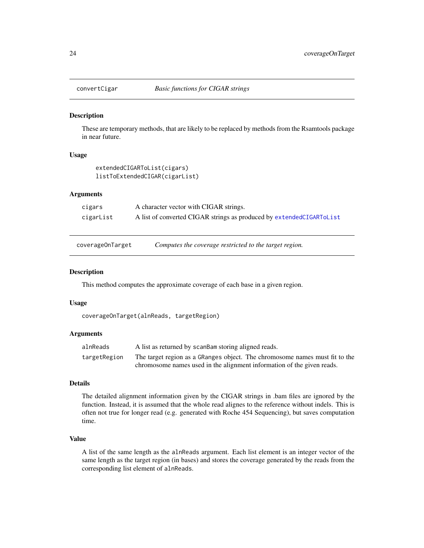<span id="page-23-1"></span><span id="page-23-0"></span>

These are temporary methods, that are likely to be replaced by methods from the Rsamtools package in near future.

#### Usage

```
extendedCIGARToList(cigars)
listToExtendedCIGAR(cigarList)
```
# Arguments

| cigars    | A character vector with CIGAR strings.                               |
|-----------|----------------------------------------------------------------------|
| cigarList | A list of converted CIGAR strings as produced by extendedCIGARToList |

coverageOnTarget *Computes the coverage restricted to the target region.*

#### Description

This method computes the approximate coverage of each base in a given region.

#### Usage

```
coverageOnTarget(alnReads, targetRegion)
```
#### Arguments

| alnReads     | A list as returned by scanBam storing aligned reads.                        |
|--------------|-----------------------------------------------------------------------------|
| targetRegion | The target region as a GRanges object. The chromosome names must fit to the |
|              | chromosome names used in the alignment information of the given reads.      |

#### Details

The detailed alignment information given by the CIGAR strings in .bam files are ignored by the function. Instead, it is assumed that the whole read alignes to the reference without indels. This is often not true for longer read (e.g. generated with Roche 454 Sequencing), but saves computation time.

#### Value

A list of the same length as the alnReads argument. Each list element is an integer vector of the same length as the target region (in bases) and stores the coverage generated by the reads from the corresponding list element of alnReads.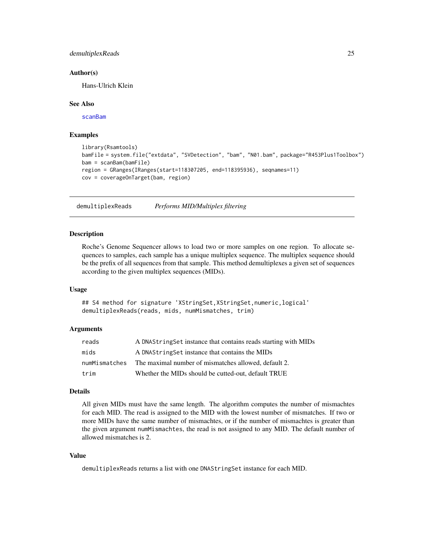# <span id="page-24-0"></span>demultiplexReads 25

#### Author(s)

Hans-Ulrich Klein

#### See Also

[scanBam](#page-0-0)

## Examples

```
library(Rsamtools)
bamFile = system.file("extdata", "SVDetection", "bam", "N01.bam", package="R453Plus1Toolbox")
bam = scanBam(bamFile)
region = GRanges(IRanges(start=118307205, end=118395936), seqnames=11)
cov = coverageOnTarget(bam, region)
```
<span id="page-24-1"></span>demultiplexReads *Performs MID/Multiplex filtering*

#### Description

Roche's Genome Sequencer allows to load two or more samples on one region. To allocate sequences to samples, each sample has a unique multiplex sequence. The multiplex sequence should be the prefix of all sequences from that sample. This method demultiplexes a given set of sequences according to the given multiplex sequences (MIDs).

#### Usage

## S4 method for signature 'XStringSet,XStringSet,numeric,logical' demultiplexReads(reads, mids, numMismatches, trim)

#### Arguments

| reads         | A DNAString Set instance that contains reads starting with MIDs |
|---------------|-----------------------------------------------------------------|
| mids          | A DNAString Set instance that contains the MIDs                 |
| numMismatches | The maximal number of mismatches allowed, default 2.            |
| trim          | Whether the MIDs should be cutted-out, default TRUE             |

#### Details

All given MIDs must have the same length. The algorithm computes the number of mismachtes for each MID. The read is assigned to the MID with the lowest number of mismatches. If two or more MIDs have the same number of mismachtes, or if the number of mismachtes is greater than the given argument numMismachtes, the read is not assigned to any MID. The default number of allowed mismatches is 2.

#### Value

demultiplexReads returns a list with one DNAStringSet instance for each MID.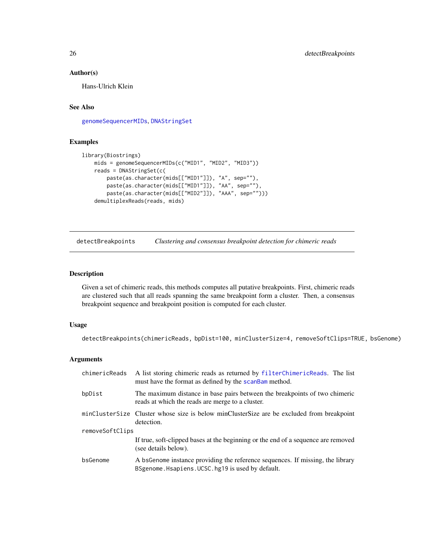# <span id="page-25-0"></span>Author(s)

Hans-Ulrich Klein

# See Also

[genomeSequencerMIDs](#page-35-1), [DNAStringSet](#page-0-0)

# Examples

```
library(Biostrings)
   mids = genomeSequencerMIDs(c("MID1", "MID2", "MID3"))
   reads = DNAStringSet(c(
       paste(as.character(mids[["MID1"]]), "A", sep=""),
        paste(as.character(mids[["MID1"]]), "AA", sep=""),
        paste(as.character(mids[["MID2"]]), "AAA", sep="")))
    demultiplexReads(reads, mids)
```
<span id="page-25-1"></span>detectBreakpoints *Clustering and consensus breakpoint detection for chimeric reads*

# Description

Given a set of chimeric reads, this methods computes all putative breakpoints. First, chimeric reads are clustered such that all reads spanning the same breakpoint form a cluster. Then, a consensus breakpoint sequence and breakpoint position is computed for each cluster.

#### Usage

```
detectBreakpoints(chimericReads, bpDist=100, minClusterSize=4, removeSoftClips=TRUE, bsGenome)
```
#### Arguments

| chimericReads   | A list storing chimeric reads as returned by filterChimericReads. The list<br>must have the format as defined by the scanBam method. |
|-----------------|--------------------------------------------------------------------------------------------------------------------------------------|
| bpDist          | The maximum distance in base pairs between the breakpoints of two chimeric<br>reads at which the reads are merge to a cluster.       |
|                 | minClusterSize Cluster whose size is below minClusterSize are be excluded from breakpoint<br>detection.                              |
| removeSoftClips |                                                                                                                                      |
|                 | If true, soft-clipped bases at the beginning or the end of a sequence are removed<br>(see details below).                            |
| bsGenome        | A bsGenome instance providing the reference sequences. If missing, the library<br>BSgenome. Hsapiens. UCSC. hg19 is used by default. |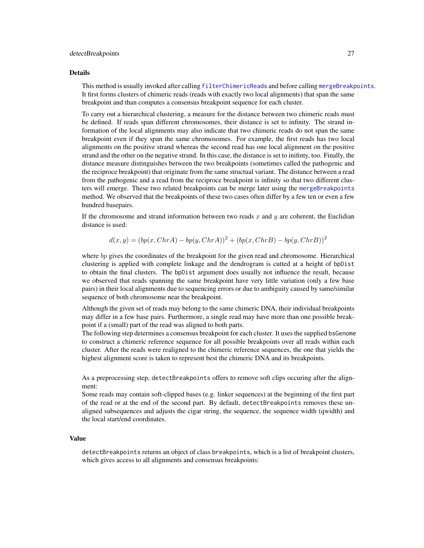#### Details

This method is usually invoked after calling [filterChimericReads](#page-31-1) and before calling [mergeBreakpoints](#page-44-1). It first forms clusters of chimeric reads (reads with exactly two local alignments) that span the same breakpoint and than computes a consensus breakpoint sequence for each cluster.

To carry out a hierarchical clustering, a measure for the distance between two chimeric reads must be defined. If reads span different chromosomes, their distance is set to infinity. The strand information of the local alignments may also indicate that two chimeric reads do not span the same breakpoint even if they span the same chromosomes. For example, the first reads has two local alignments on the positive strand whereas the second read has one local alignment on the positive strand and the other on the negative strand. In this case, the distance is set to inifinty, too. Finally, the distance measure distinguishes between the two breakpoints (sometimes called the pathogenic and the reciproce breakpoint) that originate from the same structual variant. The distance between a read from the pathogenic and a read from the reciproce breakpoint is infinity so that two different clusters will emerge. These two related breakpoints can be merge later using the [mergeBreakpoints](#page-44-1) method. We observed that the breakpoints of these two cases often differ by a few ten or even a few hundred basepairs.

If the chromosome and strand information between two reads  $x$  and  $y$  are coherent, the Euclidian distance is used:

$$
d(x,y) = (bp(x, ChrA) - bp(y, ChrA))^{2} + (bp(x, ChrB) - bp(y, ChrB))^{2}
$$

where bp gives the coordinates of the breakpoint for the given read and chromosome. Hierarchical clustering is applied with complete linkage and the dendrogram is cutted at a height of bpDist to obtain the final clusters. The bpDist argument does usually not influence the result, because we observed that reads spanning the same breakpoint have very little variation (only a few base pairs) in their local alignments due to sequencing errors or due to ambiguity caused by same/similar sequence of both chromosome near the breakpoint.

Although the given set of reads may belong to the same chimeric DNA, their individual breakpoints may differ in a few base pairs. Furthermore, a single read may have more than one possible breakpoint if a (small) part of the read was aligned to both parts.

The following step determines a consensus breakpoint for each cluster. It uses the supplied bsGenome to construct a chimeric reference sequence for all possible breakpoints over all reads within each cluster. After the reads were realigned to the chimeric reference sequences, the one that yields the highest alignment score is taken to represent best the chimeric DNA and its breakpoints.

As a preprocessing step, detectBreakpoints offers to remove soft clips occuring after the alignment:

Some reads may contain soft-clipped bases (e.g. linker sequences) at the beginning of the first part of the read or at the end of the second part. By default, detectBreakpoints removes these unaligned subsequences and adjusts the cigar string, the sequence, the sequence width (qwidth) and the local start/end coordinates.

## Value

detectBreakpoints returns an object of class breakpoints, which is a list of breakpoint clusters, which gives access to all alignments and consensus breakpoints: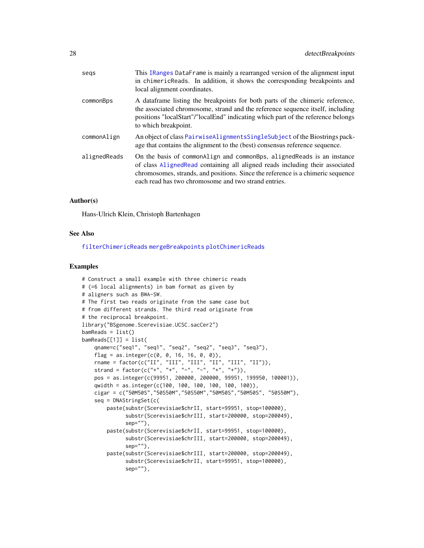| This IRanges DataFrame is mainly a rearranged version of the alignment input<br>in chimericReads. In addition, it shows the corresponding breakpoints and<br>local alignment coordinates.                                                                                                              |
|--------------------------------------------------------------------------------------------------------------------------------------------------------------------------------------------------------------------------------------------------------------------------------------------------------|
| A data frame listing the breakpoints for both parts of the chimeric reference,<br>the associated chromosome, strand and the reference sequence itself, including<br>positions "localStart"/"localEnd" indicating which part of the reference belongs<br>to which breakpoint.                           |
| An object of class PairwiseAlignmentsSingleSubject of the Biostrings pack-<br>age that contains the alignment to the (best) consensus reference sequence.                                                                                                                                              |
| On the basis of commonalign and commonaligns, aligned Reads is an instance<br>of class Aligned Read containing all aligned reads including their associated<br>chromosomes, strands, and positions. Since the reference is a chimeric sequence<br>each read has two chromosome and two strand entries. |
|                                                                                                                                                                                                                                                                                                        |

#### Author(s)

Hans-Ulrich Klein, Christoph Bartenhagen

#### See Also

[filterChimericReads](#page-31-1) [mergeBreakpoints](#page-44-1) [plotChimericReads](#page-48-1)

#### Examples

```
# Construct a small example with three chimeric reads
# (=6 local alignments) in bam format as given by
# aligners such as BWA-SW.
# The first two reads originate from the same case but
# from different strands. The third read originate from
# the reciprocal breakpoint.
library("BSgenome.Scerevisiae.UCSC.sacCer2")
bamReads = list()bamReads[[1]] = list(
   qname=c("seq1", "seq1", "seq2", "seq2", "seq3", "seq3"),
   flag = as.integer(c(0, 0, 16, 16, 0, 0)),rname = factor(c("II", "III", "III", "II", "III", "II")),
    strand = factor(c("+", "+", "-", "-", "+", "+")),
   pos = as.integer(c(99951, 200000, 200000, 99951, 199950, 100001)),
    qwidth = as.integer(c(100, 100, 100, 100, 100, 100)),
   cigar = c("50M50S","50S50M","50S50M","50M50S","50M50S", "50S50M"),
    seq = DNAStringSet(c(
       paste(substr(Scerevisiae$chrII, start=99951, stop=100000),
              substr(Scerevisiae$chrIII, start=200000, stop=200049),
              sep=""),
       paste(substr(Scerevisiae$chrII, start=99951, stop=100000),
              substr(Scerevisiae$chrIII, start=200000, stop=200049),
              sep=""),
       paste(substr(Scerevisiae$chrIII, start=200000, stop=200049),
              substr(Scerevisiae$chrII, start=99951, stop=100000),
              sep=""),
```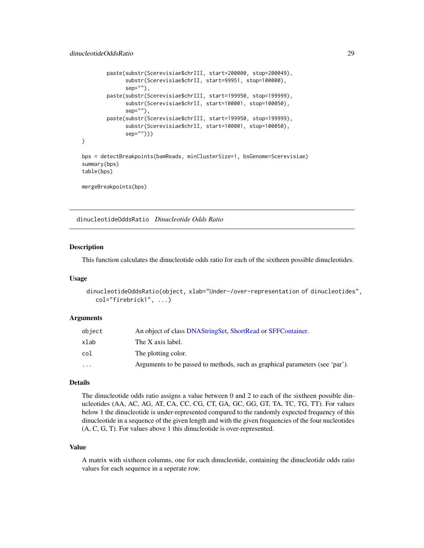```
paste(substr(Scerevisiae$chrIII, start=200000, stop=200049),
              substr(Scerevisiae$chrII, start=99951, stop=100000),
              sep=""),
        paste(substr(Scerevisiae$chrIII, start=199950, stop=199999),
              substr(Scerevisiae$chrII, start=100001, stop=100050),
              sep=""),
        paste(substr(Scerevisiae$chrIII, start=199950, stop=199999),
              substr(Scerevisiae$chrII, start=100001, stop=100050),
              sep="")))
\mathcal{L}bps = detectBreakpoints(bamReads, minClusterSize=1, bsGenome=Scerevisiae)
summary(bps)
table(bps)
mergeBreakpoints(bps)
```
dinucleotideOddsRatio *Dinucleotide Odds Ratio*

# **Description**

This function calculates the dinucleotide odds ratio for each of the sixtheen possible dinucleotides.

#### Usage

```
dinucleotideOddsRatio(object, xlab="Under-/over-representation of dinucleotides",
  col="firebrick1", ...)
```
## Arguments

| object   | An object of class DNAString Set, ShortRead or SFFContainer.                 |
|----------|------------------------------------------------------------------------------|
| xlab     | The X axis label.                                                            |
| col      | The plotting color.                                                          |
| $\cdots$ | Arguments to be passed to methods, such as graphical parameters (see 'par'). |

# Details

The dinucleotide odds ratio assigns a value between 0 and 2 to each of the sixtheen possible dinucleotides (AA, AC, AG, AT, CA, CC, CG, CT, GA, GC, GG, GT, TA, TC, TG, TT). For values below 1 the dinucleotide is under-represented compared to the randomly expected frequency of this dinucleotide in a sequence of the given length and with the given frequencies of the four nucleotides (A, C, G, T). For values above 1 this dinucleotide is over-represented.

#### Value

A matrix with sixtheen columns, one for each dinucleotide, containing the dinucleotide odds ratio values for each sequence in a seperate row.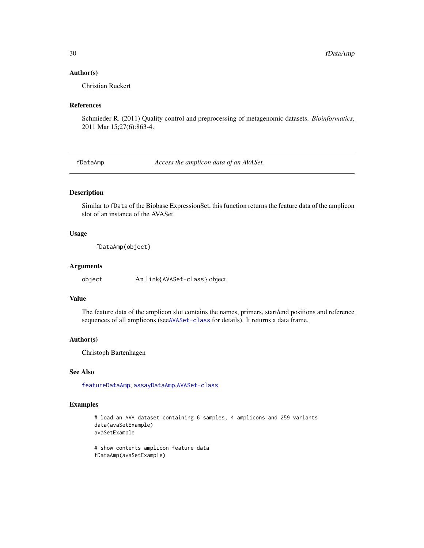#### Author(s)

Christian Ruckert

# References

Schmieder R. (2011) Quality control and preprocessing of metagenomic datasets. *Bioinformatics*, 2011 Mar 15;27(6):863-4.

<span id="page-29-1"></span>fDataAmp *Access the amplicon data of an AVASet.*

#### Description

Similar to fData of the Biobase ExpressionSet, this function returns the feature data of the amplicon slot of an instance of the AVASet.

#### Usage

fDataAmp(object)

#### Arguments

object An link{AVASet-class} object.

#### Value

The feature data of the amplicon slot contains the names, primers, start/end positions and reference sequences of all amplicons (see[AVASet-class](#page-10-1) for details). It returns a data frame.

#### Author(s)

Christoph Bartenhagen

# See Also

[featureDataAmp](#page-30-1), [assayDataAmp](#page-6-1),[AVASet-class](#page-10-1)

# Examples

# load an AVA dataset containing 6 samples, 4 amplicons and 259 variants data(avaSetExample) avaSetExample

# show contents amplicon feature data fDataAmp(avaSetExample)

<span id="page-29-0"></span>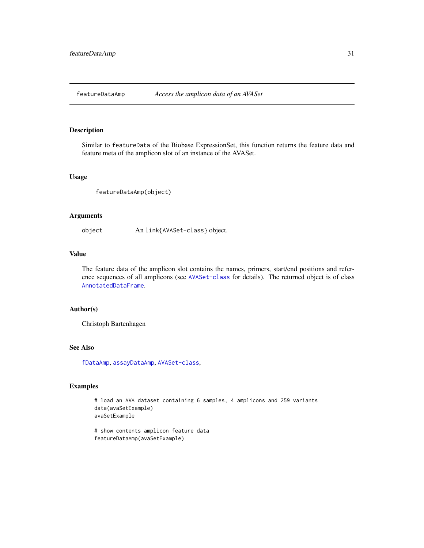<span id="page-30-1"></span><span id="page-30-0"></span>

Similar to featureData of the Biobase ExpressionSet, this function returns the feature data and feature meta of the amplicon slot of an instance of the AVASet.

#### Usage

featureDataAmp(object)

#### Arguments

object An link{AVASet-class} object.

# Value

The feature data of the amplicon slot contains the names, primers, start/end positions and reference sequences of all amplicons (see [AVASet-class](#page-10-1) for details). The returned object is of class [AnnotatedDataFrame](#page-0-0).

### Author(s)

Christoph Bartenhagen

#### See Also

[fDataAmp](#page-29-1), [assayDataAmp](#page-6-1), [AVASet-class](#page-10-1),

# Examples

# load an AVA dataset containing 6 samples, 4 amplicons and 259 variants data(avaSetExample) avaSetExample

# show contents amplicon feature data featureDataAmp(avaSetExample)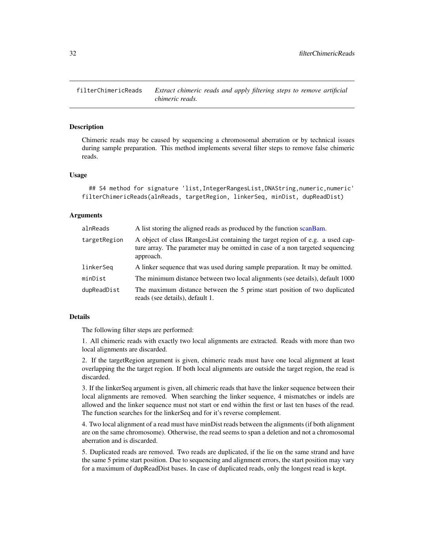<span id="page-31-1"></span><span id="page-31-0"></span>filterChimericReads *Extract chimeric reads and apply filtering steps to remove artificial chimeric reads.*

#### Description

Chimeric reads may be caused by sequencing a chromosomal aberration or by technical issues during sample preparation. This method implements several filter steps to remove false chimeric reads.

#### Usage

```
## S4 method for signature 'list,IntegerRangesList,DNAString,numeric,numeric'
filterChimericReads(alnReads, targetRegion, linkerSeq, minDist, dupReadDist)
```
#### Arguments

| alnReads     | A list storing the aligned reads as produced by the function scanBam.                                                                                                        |
|--------------|------------------------------------------------------------------------------------------------------------------------------------------------------------------------------|
| targetRegion | A object of class IRangesList containing the target region of e.g. a used cap-<br>ture array. The parameter may be omitted in case of a non targeted sequencing<br>approach. |
| linkerSeg    | A linker sequence that was used during sample preparation. It may be omitted.                                                                                                |
| minDist      | The minimum distance between two local alignments (see details), default 1000                                                                                                |
| dupReadDist  | The maximum distance between the 5 prime start position of two duplicated<br>reads (see details), default 1.                                                                 |
|              |                                                                                                                                                                              |

#### Details

The following filter steps are performed:

1. All chimeric reads with exactly two local alignments are extracted. Reads with more than two local alignments are discarded.

2. If the targetRegion argument is given, chimeric reads must have one local alignment at least overlapping the the target region. If both local alignments are outside the target region, the read is discarded.

3. If the linkerSeq argument is given, all chimeric reads that have the linker sequence between their local alignments are removed. When searching the linker sequence, 4 mismatches or indels are allowed and the linker sequence must not start or end within the first or last ten bases of the read. The function searches for the linkerSeq and for it's reverse complement.

4. Two local alignment of a read must have minDist reads between the alignments (if both alignment are on the same chromosome). Otherwise, the read seems to span a deletion and not a chromosomal aberration and is discarded.

5. Duplicated reads are removed. Two reads are duplicated, if the lie on the same strand and have the same 5 prime start position. Due to sequencing and alignment errors, the start position may vary for a maximum of dupReadDist bases. In case of duplicated reads, only the longest read is kept.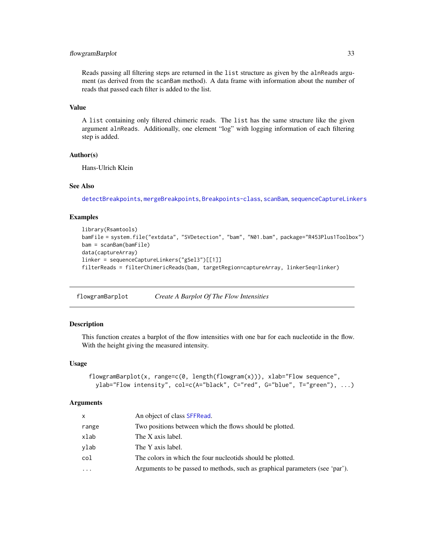# <span id="page-32-0"></span>flowgramBarplot 33

Reads passing all filtering steps are returned in the list structure as given by the alnReads argument (as derived from the scanBam method). A data frame with information about the number of reads that passed each filter is added to the list.

# Value

A list containing only filtered chimeric reads. The list has the same structure like the given argument alnReads. Additionally, one element "log" with logging information of each filtering step is added.

## Author(s)

Hans-Ulrich Klein

# See Also

[detectBreakpoints](#page-25-1), [mergeBreakpoints](#page-44-1), [Breakpoints-class](#page-17-1), [scanBam](#page-0-0), [sequenceCaptureLinkers](#page-60-1)

# Examples

```
library(Rsamtools)
bamFile = system.file("extdata", "SVDetection", "bam", "N01.bam", package="R453Plus1Toolbox")
bam = scanBam(bamFile)
data(captureArray)
linker = sequenceCaptureLinkers("gSel3")[[1]]
filterReads = filterChimericReads(bam, targetRegion=captureArray, linkerSeq=linker)
```
flowgramBarplot *Create A Barplot Of The Flow Intensities*

# **Description**

This function creates a barplot of the flow intensities with one bar for each nucleotide in the flow. With the height giving the measured intensity.

#### Usage

```
flowgramBarplot(x, range=c(0, length(flowgram(x))), xlab="Flow sequence",
 ylab="Flow intensity", col=c(A="black", C="red", G="blue", T="green"), ...)
```
#### Arguments

| X          | An object of class SFFRead.                                                  |
|------------|------------------------------------------------------------------------------|
| range      | Two positions between which the flows should be plotted.                     |
| xlab       | The X axis label.                                                            |
| ylab       | The Y axis label.                                                            |
| col        | The colors in which the four nucleotids should be plotted.                   |
| $\ddots$ . | Arguments to be passed to methods, such as graphical parameters (see 'par'). |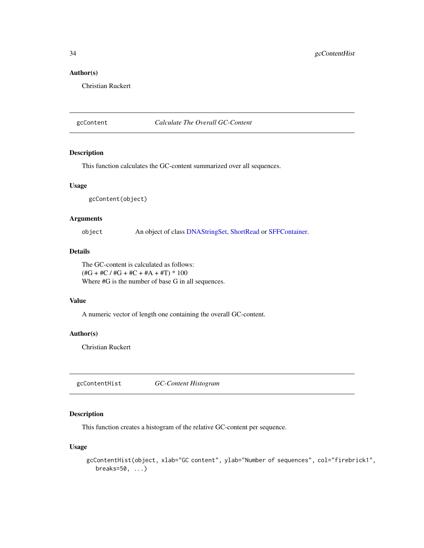# Author(s)

Christian Ruckert

# gcContent *Calculate The Overall GC-Content*

# Description

This function calculates the GC-content summarized over all sequences.

#### Usage

gcContent(object)

# Arguments

object An object of class [DNAStringSet,](#page-0-0) [ShortRead](#page-0-0) or [SFFContainer.](#page-63-1)

# Details

The GC-content is calculated as follows:  $(\text{\#G} + \text{\#C}/\text{\#G} + \text{\#C} + \text{\#A} + \text{\#T}) * 100$ Where  $#G$  is the number of base G in all sequences.

# Value

A numeric vector of length one containing the overall GC-content.

# Author(s)

Christian Ruckert

gcContentHist *GC-Content Histogram*

# Description

This function creates a histogram of the relative GC-content per sequence.

# Usage

```
gcContentHist(object, xlab="GC content", ylab="Number of sequences", col="firebrick1",
  breaks=50, ...)
```
<span id="page-33-0"></span>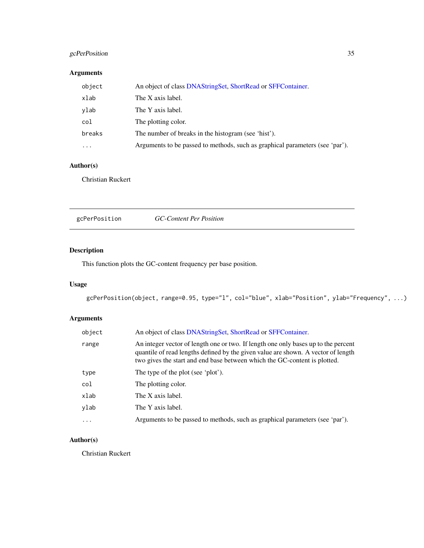# <span id="page-34-0"></span>gcPerPosition 35

# Arguments

| object     | An object of class DNAStringSet, ShortRead or SFFContainer.                  |
|------------|------------------------------------------------------------------------------|
| xlab       | The X axis label.                                                            |
| ylab       | The Y axis label.                                                            |
| col        | The plotting color.                                                          |
| breaks     | The number of breaks in the histogram (see 'hist').                          |
| $\ddots$ . | Arguments to be passed to methods, such as graphical parameters (see 'par'). |

# Author(s)

Christian Ruckert

gcPerPosition *GC-Content Per Position*

# Description

This function plots the GC-content frequency per base position.

# Usage

gcPerPosition(object, range=0.95, type="l", col="blue", xlab="Position", ylab="Frequency", ...)

# Arguments

| object   | An object of class DNAStringSet, ShortRead or SFFContainer.                                                                                                                                                                                          |
|----------|------------------------------------------------------------------------------------------------------------------------------------------------------------------------------------------------------------------------------------------------------|
| range    | An integer vector of length one or two. If length one only bases up to the percent<br>quantile of read lengths defined by the given value are shown. A vector of length<br>two gives the start and end base between which the GC-content is plotted. |
| type     | The type of the plot (see 'plot').                                                                                                                                                                                                                   |
| col      | The plotting color.                                                                                                                                                                                                                                  |
| xlab     | The X axis label.                                                                                                                                                                                                                                    |
| vlab     | The Y axis label.                                                                                                                                                                                                                                    |
| $\cdots$ | Arguments to be passed to methods, such as graphical parameters (see 'par').                                                                                                                                                                         |

# Author(s)

Christian Ruckert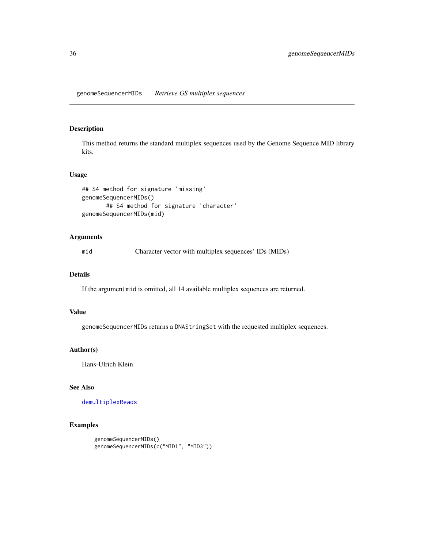<span id="page-35-1"></span><span id="page-35-0"></span>This method returns the standard multiplex sequences used by the Genome Sequence MID library kits.

#### Usage

```
## S4 method for signature 'missing'
genomeSequencerMIDs()
      ## S4 method for signature 'character'
genomeSequencerMIDs(mid)
```
# Arguments

mid Character vector with multiplex sequences' IDs (MIDs)

#### Details

If the argument mid is omitted, all 14 available multiplex sequences are returned.

# Value

genomeSequencerMIDs returns a DNAStringSet with the requested multiplex sequences.

# Author(s)

Hans-Ulrich Klein

## See Also

[demultiplexReads](#page-24-1)

# Examples

```
genomeSequencerMIDs()
genomeSequencerMIDs(c("MID1", "MID3"))
```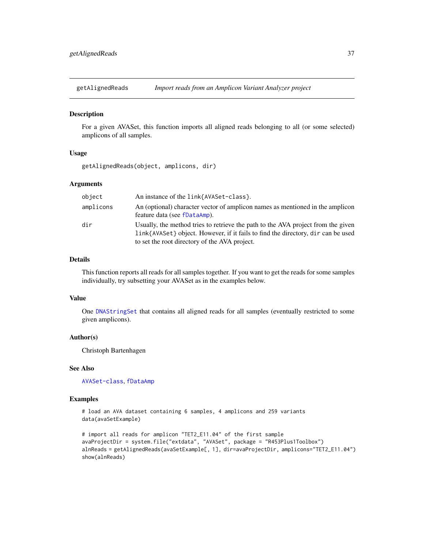# Description

For a given AVASet, this function imports all aligned reads belonging to all (or some selected) amplicons of all samples.

## Usage

getAlignedReads(object, amplicons, dir)

## Arguments

| object    | An instance of the link{AVASet-class}.                                                                                                                                                                                |
|-----------|-----------------------------------------------------------------------------------------------------------------------------------------------------------------------------------------------------------------------|
| amplicons | An (optional) character vector of amplicon names as mentioned in the amplicon<br>feature data (see fDataAmp).                                                                                                         |
| dir       | Usually, the method tries to retrieve the path to the AVA project from the given<br>link{AVASet} object. However, if it fails to find the directory, dir can be used<br>to set the root directory of the AVA project. |

#### Details

This function reports all reads for all samples together. If you want to get the reads for some samples individually, try subsetting your AVASet as in the examples below.

## Value

One [DNAStringSet](#page-0-0) that contains all aligned reads for all samples (eventually restricted to some given amplicons).

## Author(s)

Christoph Bartenhagen

## See Also

[AVASet-class](#page-10-0), [fDataAmp](#page-29-0)

# Examples

```
# load an AVA dataset containing 6 samples, 4 amplicons and 259 variants
data(avaSetExample)
```

```
# import all reads for amplicon "TET2_E11.04" of the first sample
avaProjectDir = system.file("extdata", "AVASet", package = "R453Plus1Toolbox")
alnReads = getAlignedReads(avaSetExample[, 1], dir=avaProjectDir, amplicons="TET2_E11.04")
show(alnReads)
```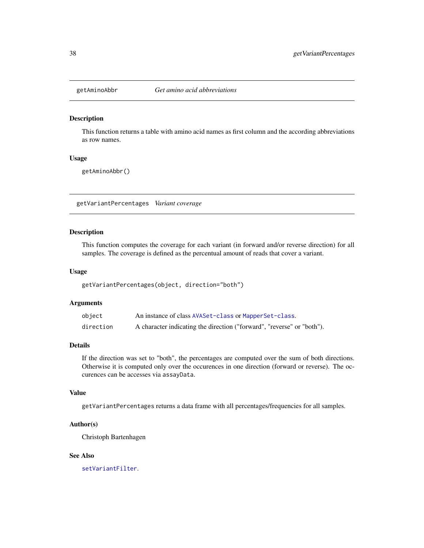#### Description

This function returns a table with amino acid names as first column and the according abbreviations as row names.

## Usage

getAminoAbbr()

<span id="page-37-0"></span>getVariantPercentages *Variant coverage*

# Description

This function computes the coverage for each variant (in forward and/or reverse direction) for all samples. The coverage is defined as the percentual amount of reads that cover a variant.

#### Usage

getVariantPercentages(object, direction="both")

# Arguments

| object    | An instance of class AVASet-class or MapperSet-class.                  |
|-----------|------------------------------------------------------------------------|
| direction | A character indicating the direction ("forward", "reverse" or "both"). |

#### Details

If the direction was set to "both", the percentages are computed over the sum of both directions. Otherwise it is computed only over the occurences in one direction (forward or reverse). The occurences can be accesses via assayData.

## Value

getVariantPercentages returns a data frame with all percentages/frequencies for all samples.

## Author(s)

Christoph Bartenhagen

# See Also

[setVariantFilter](#page-62-0).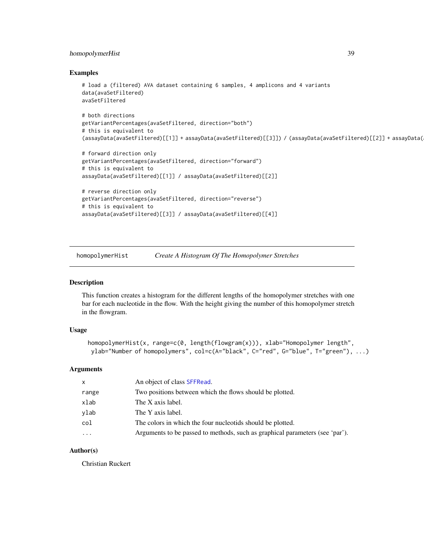# <span id="page-38-0"></span>homopolymerHist 39

#### Examples

```
# load a (filtered) AVA dataset containing 6 samples, 4 amplicons and 4 variants
data(avaSetFiltered)
avaSetFiltered
# both directions
getVariantPercentages(avaSetFiltered, direction="both")
# this is equivalent to
(assayData(avaSetFiltered)[[1]] + assayData(avaSetFiltered)[[3]]) / (assayData(avaSetFiltered)[[2]] + assayData(avaSetFiltered)[[4]])
# forward direction only
getVariantPercentages(avaSetFiltered, direction="forward")
# this is equivalent to
assayData(avaSetFiltered)[[1]] / assayData(avaSetFiltered)[[2]]
# reverse direction only
getVariantPercentages(avaSetFiltered, direction="reverse")
# this is equivalent to
assayData(avaSetFiltered)[[3]] / assayData(avaSetFiltered)[[4]]
```
homopolymerHist *Create A Histogram Of The Homopolymer Stretches*

## Description

This function creates a histogram for the different lengths of the homopolymer stretches with one bar for each nucleotide in the flow. With the height giving the number of this homopolymer stretch in the flowgram.

## Usage

```
homopolymerHist(x, range=c(0, length(flowgram(x))), xlab="Homopolymer length",
ylab="Number of homopolymers", col=c(A="black", C="red", G="blue", T="green"), ...)
```
# Arguments

| $\mathsf{x}$        | An object of class SFFRead.                                                  |
|---------------------|------------------------------------------------------------------------------|
| range               | Two positions between which the flows should be plotted.                     |
| xlab                | The X axis label.                                                            |
| ylab                | The Y axis label.                                                            |
| col                 | The colors in which the four nucleotids should be plotted.                   |
| $\cdot \cdot \cdot$ | Arguments to be passed to methods, such as graphical parameters (see 'par'). |

## Author(s)

Christian Ruckert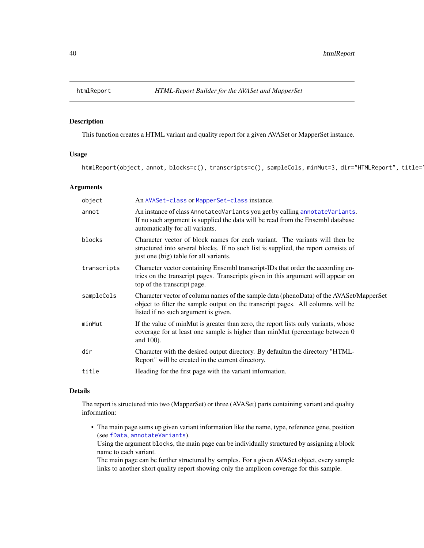<span id="page-39-1"></span><span id="page-39-0"></span>

# Description

This function creates a HTML variant and quality report for a given AVASet or MapperSet instance.

# Usage

htmlReport(object, annot, blocks=c(), transcripts=c(), sampleCols, minMut=3, dir="HTMLReport", title='

# Arguments

| object      | An AVASet-class or MapperSet-class instance.                                                                                                                                                                       |
|-------------|--------------------------------------------------------------------------------------------------------------------------------------------------------------------------------------------------------------------|
| annot       | An instance of class AnnotatedVariants you get by calling annotateVariants.<br>If no such argument is supplied the data will be read from the Ensembl database<br>automatically for all variants.                  |
| blocks      | Character vector of block names for each variant. The variants will then be<br>structured into several blocks. If no such list is supplied, the report consists of<br>just one (big) table for all variants.       |
| transcripts | Character vector containing Ensembl transcript-IDs that order the according en-<br>tries on the transcript pages. Transcripts given in this argument will appear on<br>top of the transcript page.                 |
| sampleCols  | Character vector of column names of the sample data (phenoData) of the AVASet/MapperSet<br>object to filter the sample output on the transcript pages. All columns will be<br>listed if no such argument is given. |
| minMut      | If the value of minMut is greater than zero, the report lists only variants, whose<br>coverage for at least one sample is higher than minMut (percentage between 0<br>and 100).                                    |
| dir         | Character with the desired output directory. By defaultm the directory "HTML-<br>Report" will be created in the current directory.                                                                                 |
| title       | Heading for the first page with the variant information.                                                                                                                                                           |
|             |                                                                                                                                                                                                                    |

## Details

The report is structured into two (MapperSet) or three (AVASet) parts containing variant and quality information:

• The main page sums up given variant information like the name, type, reference gene, position (see [fData](#page-0-0), [annotateVariants](#page-4-0)).

Using the argument blocks, the main page can be individually structured by assigning a block name to each variant.

The main page can be further structured by samples. For a given AVASet object, every sample links to another short quality report showing only the amplicon coverage for this sample.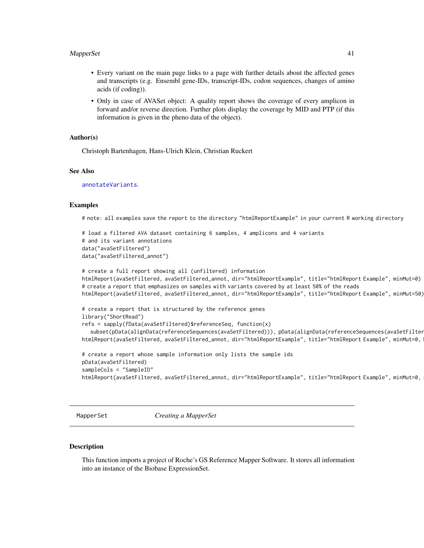## <span id="page-40-0"></span>MapperSet 41

- Every variant on the main page links to a page with further details about the affected genes and transcripts (e.g. Ensembl gene-IDs, transcript-IDs, codon sequences, changes of amino acids (if coding)).
- Only in case of AVASet object: A quality report shows the coverage of every amplicon in forward and/or reverse direction. Further plots display the coverage by MID and PTP (if this information is given in the pheno data of the object).

# Author(s)

Christoph Bartenhagen, Hans-Ulrich Klein, Christian Ruckert

#### See Also

[annotateVariants](#page-4-0).

#### Examples

# note: all examples save the report to the directory "htmlReportExample" in your current R working directory

```
# load a filtered AVA dataset containing 6 samples, 4 amplicons and 4 variants
# and its variant annotations
data("avaSetFiltered")
data("avaSetFiltered_annot")
```

```
# create a full report showing all (unfiltered) information
htmlReport(avaSetFiltered, avaSetFiltered_annot, dir="htmlReportExample", title="htmlReport Example", minMut=0)
# create a report that emphasizes on samples with variants covered by at least 50% of the reads
htmlReport(avaSetFiltered, avaSetFiltered_annot, dir="htmlReportExample", title="htmlReport Example", minMut=50)
```

```
# create a report that is structured by the reference genes
library("ShortRead")
refs = sapply(fData(avaSetFiltered)$referenceSeq, function(x)
  subset(pData(alignData(referenceSequences(avaSetFiltered))), pData(alignData(referenceSequences(avaSetFilter
htmlReport(avaSetFiltered, avaSetFiltered_annot, dir="htmlReportExample", title="htmlReport Example", minMut=0,
```

```
# create a report whose sample information only lists the sample ids
pData(avaSetFiltered)
sampleCols = "SampleID"
htmlReport(avaSetFiltered, avaSetFiltered_annot, dir="htmlReportExample", title="htmlReport Example", minMut=0,
```
MapperSet *Creating a MapperSet*

# Description

This function imports a project of Roche's GS Reference Mapper Software. It stores all information into an instance of the Biobase ExpressionSet.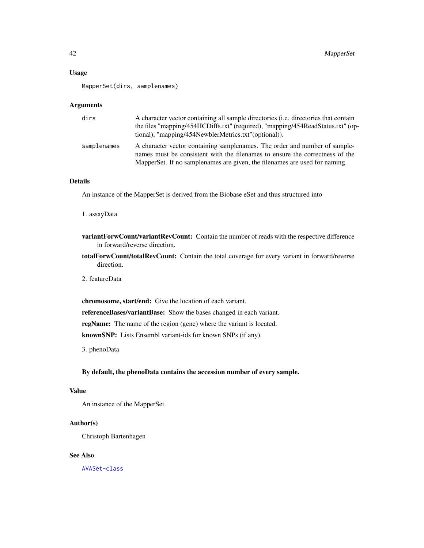# Usage

MapperSet(dirs, samplenames)

# Arguments

| dirs        | A character vector containing all sample directories ( <i>i.e.</i> directories that contain<br>the files "mapping/454HCDiffs.txt" (required), "mapping/454ReadStatus.txt" (op-<br>tional), "mapping/454NewblerMetrics.txt"(optional)).    |
|-------------|-------------------------------------------------------------------------------------------------------------------------------------------------------------------------------------------------------------------------------------------|
| samplenames | A character vector containing samplenames. The order and number of sample-<br>names must be consistent with the filenames to ensure the correctness of the<br>MapperSet. If no sample names are given, the filenames are used for naming. |

# Details

An instance of the MapperSet is derived from the Biobase eSet and thus structured into

1. assayData

- variantForwCount/variantRevCount: Contain the number of reads with the respective difference in forward/reverse direction.
- totalForwCount/totalRevCount: Contain the total coverage for every variant in forward/reverse direction.

2. featureData

chromosome, start/end: Give the location of each variant.

referenceBases/variantBase: Show the bases changed in each variant.

regName: The name of the region (gene) where the variant is located.

knownSNP: Lists Ensembl variant-ids for known SNPs (if any).

3. phenoData

# By default, the phenoData contains the accession number of every sample.

#### Value

An instance of the MapperSet.

## Author(s)

Christoph Bartenhagen

# See Also

[AVASet-class](#page-10-0)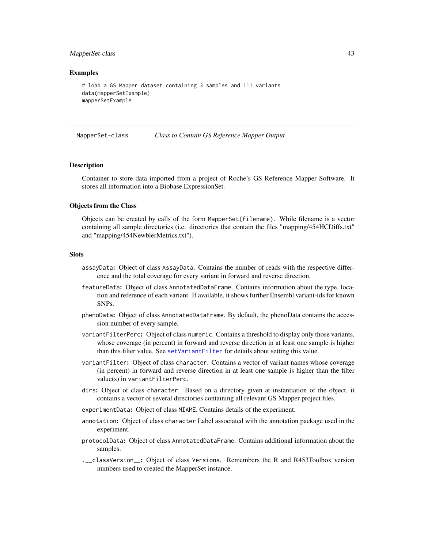#### <span id="page-42-1"></span>MapperSet-class 43

## Examples

```
# load a GS Mapper dataset containing 3 samples and 111 variants
data(mapperSetExample)
mapperSetExample
```
<span id="page-42-0"></span>MapperSet-class *Class to Contain GS Reference Mapper Output*

#### Description

Container to store data imported from a project of Roche's GS Reference Mapper Software. It stores all information into a Biobase ExpressionSet.

## Objects from the Class

Objects can be created by calls of the form MapperSet(filename). While filename is a vector containing all sample directories (i.e. directories that contain the files "mapping/454HCDiffs.txt" and "mapping/454NewblerMetrics.txt").

# **Slots**

- assayData: Object of class AssayData. Contains the number of reads with the respective difference and the total coverage for every variant in forward and reverse direction.
- featureData: Object of class AnnotatedDataFrame. Contains information about the type, location and reference of each variant. If available, it shows further Ensembl variant-ids for known SNPs.
- phenoData: Object of class AnnotatedDataFrame. By default, the phenoData contains the accession number of every sample.
- variantFilterPerc: Object of class numeric. Contains a threshold to display only those variants, whose coverage (in percent) in forward and reverse direction in at least one sample is higher than this filter value. See [setVariantFilter](#page-62-0) for details about setting this value.
- variantFilter: Object of class character. Contains a vector of variant names whose coverage (in percent) in forward and reverse direction in at least one sample is higher than the filter value(s) in variantFilterPerc.
- dirs: Object of class character. Based on a directory given at instantiation of the object, it contains a vector of several directories containing all relevant GS Mapper project files.
- experimentData: Object of class MIAME. Contains details of the experiment.
- annotation: Object of class character Label associated with the annotation package used in the experiment.
- protocolData: Object of class AnnotatedDataFrame. Contains additional information about the samples.
- .\_\_classVersion\_\_: Object of class Versions. Remembers the R and R453Toolbox version numbers used to created the MapperSet instance.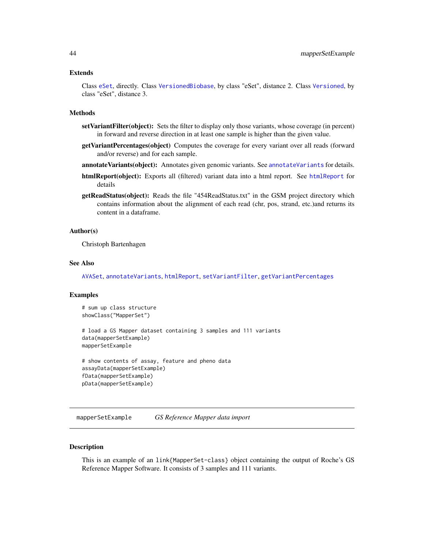#### <span id="page-43-0"></span>Extends

Class [eSet](#page-0-0), directly. Class [VersionedBiobase](#page-0-0), by class "eSet", distance 2. Class [Versioned](#page-0-0), by class "eSet", distance 3.

#### Methods

- setVariantFilter(object): Sets the filter to display only those variants, whose coverage (in percent) in forward and reverse direction in at least one sample is higher than the given value.
- getVariantPercentages(object) Computes the coverage for every variant over all reads (forward and/or reverse) and for each sample.
- [annotateVariants](#page-4-0)(object): Annotates given genomic variants. See annotateVariants for details.
- htmlReport(object): Exports all (filtered) variant data into a html report. See [htmlReport](#page-39-0) for details
- getReadStatus(object): Reads the file "454ReadStatus.txt" in the GSM project directory which contains information about the alignment of each read (chr, pos, strand, etc.)and returns its content in a dataframe.

# Author(s)

Christoph Bartenhagen

#### See Also

[AVASet](#page-8-0), [annotateVariants](#page-4-0), [htmlReport](#page-39-0), [setVariantFilter](#page-62-0), [getVariantPercentages](#page-37-0)

#### Examples

```
# sum up class structure
showClass("MapperSet")
```

```
# load a GS Mapper dataset containing 3 samples and 111 variants
data(mapperSetExample)
mapperSetExample
```

```
# show contents of assay, feature and pheno data
assayData(mapperSetExample)
fData(mapperSetExample)
pData(mapperSetExample)
```
mapperSetExample *GS Reference Mapper data import*

#### **Description**

This is an example of an link{MapperSet-class} object containing the output of Roche's GS Reference Mapper Software. It consists of 3 samples and 111 variants.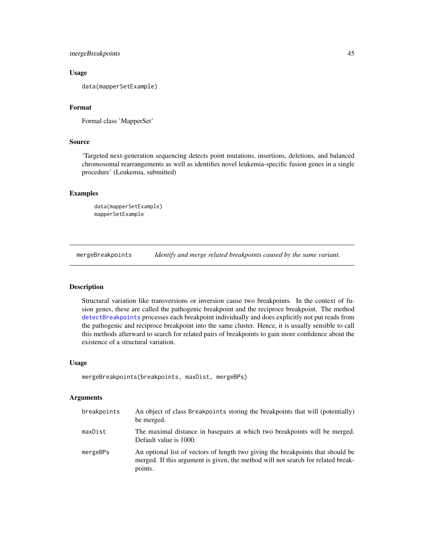# mergeBreakpoints 45

## Usage

data(mapperSetExample)

# Format

```
Formal class 'MapperSet'
```
## Source

'Targeted next-generation sequencing detects point mutations, insertions, deletions, and balanced chromosomal rearrangements as well as identifies novel leukemia-specific fusion genes in a single procedure' (Leukemia, submitted)

# Examples

```
data(mapperSetExample)
mapperSetExample
```
<span id="page-44-0"></span>mergeBreakpoints *Identify and merge related breakpoints caused by the same variant.*

#### Description

Structural variation like transversions or inversion cause two breakpoints. In the context of fusion genes, these are called the pathogenic breakpoint and the reciproce breakpoint. The method [detectBreakpoints](#page-25-0) processes each breakpoint individually and does explicitly not put reads from the pathogenic and reciproce breakpoint into the same cluster. Hence, it is usually sensible to call this methods afterward to search for related pairs of breakpoints to gain more confidence about the existence of a structural variation.

#### Usage

```
mergeBreakpoints(breakpoints, maxDist, mergeBPs)
```
## Arguments

| breakpoints | An object of class Breakpoints storing the breakpoints that will (potentially)<br>be merged.                                                                                   |
|-------------|--------------------------------------------------------------------------------------------------------------------------------------------------------------------------------|
| maxDist     | The maximal distance in basepairs at which two breakpoints will be merged.<br>Default value is 1000.                                                                           |
| mergeBPs    | An optional list of vectors of length two giving the breakpoints that should be<br>merged. If this argument is given, the method will not search for related break-<br>points. |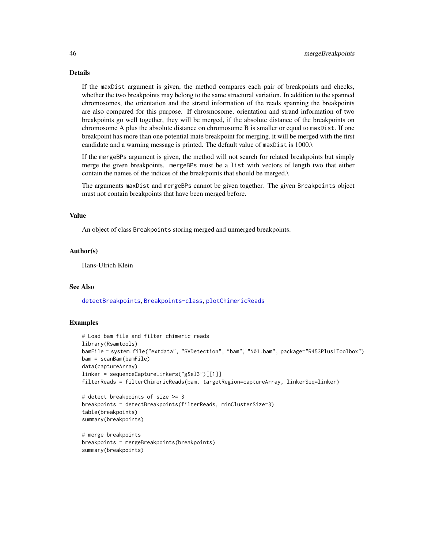# Details

If the maxDist argument is given, the method compares each pair of breakpoints and checks, whether the two breakpoints may belong to the same structural variation. In addition to the spanned chromosomes, the orientation and the strand information of the reads spanning the breakpoints are also compared for this purpose. If chrosmosome, orientation and strand information of two breakpoints go well together, they will be merged, if the absolute distance of the breakpoints on chromosome A plus the absolute distance on chromosome B is smaller or equal to maxDist. If one breakpoint has more than one potential mate breakpoint for merging, it will be merged with the first candidate and a warning message is printed. The default value of maxDist is 1000.\

If the mergeBPs argument is given, the method will not search for related breakpoints but simply merge the given breakpoints. mergeBPs must be a list with vectors of length two that either contain the names of the indices of the breakpoints that should be merged.\

The arguments maxDist and mergeBPs cannot be given together. The given Breakpoints object must not contain breakpoints that have been merged before.

#### Value

An object of class Breakpoints storing merged and unmerged breakpoints.

#### Author(s)

Hans-Ulrich Klein

#### See Also

[detectBreakpoints](#page-25-0), [Breakpoints-class](#page-17-0), [plotChimericReads](#page-48-0)

## Examples

```
# Load bam file and filter chimeric reads
library(Rsamtools)
bamFile = system.file("extdata", "SVDetection", "bam", "N01.bam", package="R453Plus1Toolbox")
bam = scanBam(bamFile)
data(captureArray)
linker = sequenceCaptureLinkers("gSel3")[[1]]
filterReads = filterChimericReads(bam, targetRegion=captureArray, linkerSeq=linker)
# detect breakpoints of size >= 3
breakpoints = detectBreakpoints(filterReads, minClusterSize=3)
table(breakpoints)
summary(breakpoints)
# merge breakpoints
breakpoints = mergeBreakpoints(breakpoints)
summary(breakpoints)
```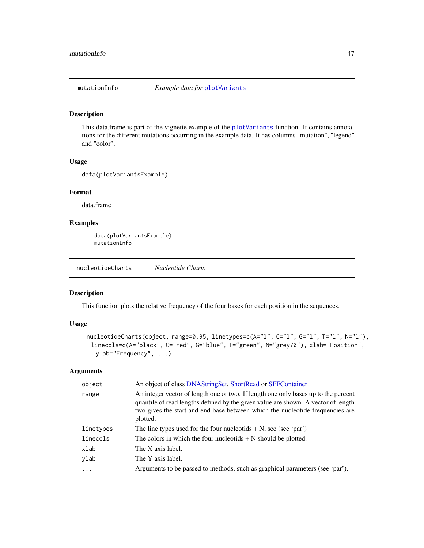<span id="page-46-1"></span>

## Description

This data.frame is part of the vignette example of the [plotVariants](#page-49-0) function. It contains annotations for the different mutations occurring in the example data. It has columns "mutation", "legend" and "color".

#### Usage

data(plotVariantsExample)

# Format

data.frame

## Examples

```
data(plotVariantsExample)
mutationInfo
```
<span id="page-46-0"></span>nucleotideCharts *Nucleotide Charts*

# Description

This function plots the relative frequency of the four bases for each position in the sequences.

# Usage

```
nucleotideCharts(object, range=0.95, linetypes=c(A="l", C="l", G="l", T="l", N="l"),
 linecols=c(A="black", C="red", G="blue", T="green", N="grey70"), xlab="Position",
  ylab="Frequency", ...)
```
## Arguments

| object    | An object of class DNAStringSet, ShortRead or SFFContainer.                                                                                                                                                                                                          |
|-----------|----------------------------------------------------------------------------------------------------------------------------------------------------------------------------------------------------------------------------------------------------------------------|
| range     | An integer vector of length one or two. If length one only bases up to the percent<br>quantile of read lengths defined by the given value are shown. A vector of length<br>two gives the start and end base between which the nucleotide frequencies are<br>plotted. |
| linetypes | The line types used for the four nucleotids $+ N$ , see (see 'par')                                                                                                                                                                                                  |
| linecols  | The colors in which the four nucleotids $+ N$ should be plotted.                                                                                                                                                                                                     |
| xlab      | The X axis label.                                                                                                                                                                                                                                                    |
| ylab      | The Y axis label.                                                                                                                                                                                                                                                    |
| $\cdots$  | Arguments to be passed to methods, such as graphical parameters (see 'par').                                                                                                                                                                                         |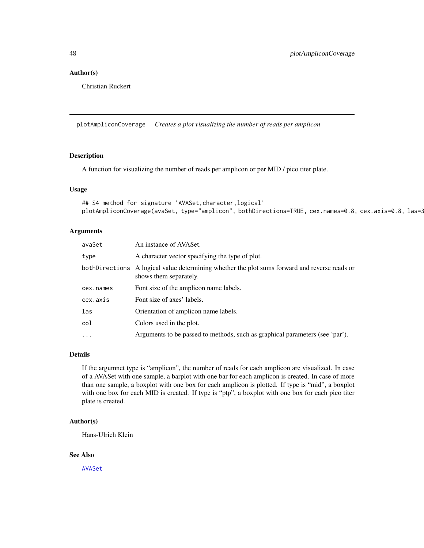# <span id="page-47-0"></span>Author(s)

Christian Ruckert

plotAmpliconCoverage *Creates a plot visualizing the number of reads per amplicon*

# Description

A function for visualizing the number of reads per amplicon or per MID / pico titer plate.

## Usage

```
## S4 method for signature 'AVASet,character,logical'
plotAmpliconCoverage(avaSet, type="amplicon", bothDirections=TRUE, cex.names=0.8, cex.axis=0.8, las=3
```
## Arguments

| avaSet    | An instance of AVASet.                                                                                                  |
|-----------|-------------------------------------------------------------------------------------------------------------------------|
| type      | A character vector specifying the type of plot.                                                                         |
|           | bothDirections A logical value determining whether the plot sums forward and reverse reads or<br>shows them separately. |
| cex.names | Font size of the amplicon name labels.                                                                                  |
| cex.axis  | Font size of axes' labels.                                                                                              |
| las       | Orientation of amplicon name labels.                                                                                    |
| col       | Colors used in the plot.                                                                                                |
| $\ddots$  | Arguments to be passed to methods, such as graphical parameters (see 'par').                                            |

# Details

If the argumnet type is "amplicon", the number of reads for each amplicon are visualized. In case of a AVASet with one sample, a barplot with one bar for each amplicon is created. In case of more than one sample, a boxplot with one box for each amplicon is plotted. If type is "mid", a boxplot with one box for each MID is created. If type is "ptp", a boxplot with one box for each pico titer plate is created.

#### Author(s)

Hans-Ulrich Klein

#### See Also

[AVASet](#page-8-0)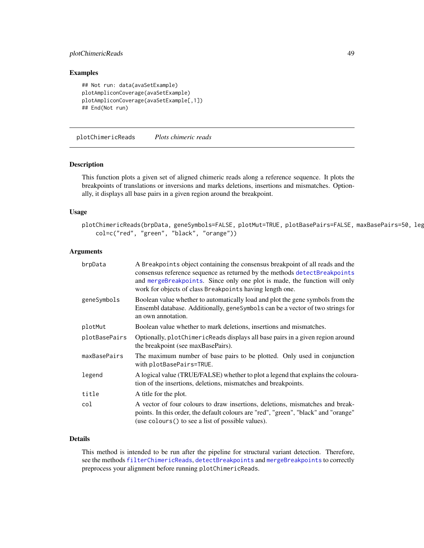# <span id="page-48-1"></span>plotChimericReads 49

## Examples

```
## Not run: data(avaSetExample)
plotAmpliconCoverage(avaSetExample)
plotAmpliconCoverage(avaSetExample[,1])
## End(Not run)
```
<span id="page-48-0"></span>plotChimericReads *Plots chimeric reads*

## Description

This function plots a given set of aligned chimeric reads along a reference sequence. It plots the breakpoints of translations or inversions and marks deletions, insertions and mismatches. Optionally, it displays all base pairs in a given region around the breakpoint.

#### Usage

```
plotChimericReads(brpData, geneSymbols=FALSE, plotMut=TRUE, plotBasePairs=FALSE, maxBasePairs=50, leg
    col=c("red", "green", "black", "orange"))
```
# Arguments

| brpData       | A Breakpoint s object containing the consensus breakpoint of all reads and the<br>consensus reference sequence as returned by the methods detectBreakpoints<br>and mergeBreakpoints. Since only one plot is made, the function will only<br>work for objects of class Breakpoints having length one. |
|---------------|------------------------------------------------------------------------------------------------------------------------------------------------------------------------------------------------------------------------------------------------------------------------------------------------------|
| geneSymbols   | Boolean value whether to automatically load and plot the gene symbols from the<br>Ensembl database. Additionally, geneSymbols can be a vector of two strings for<br>an own annotation.                                                                                                               |
| plotMut       | Boolean value whether to mark deletions, insertions and mismatches.                                                                                                                                                                                                                                  |
| plotBasePairs | Optionally, plotChimericReads displays all base pairs in a given region around<br>the breakpoint (see maxBasePairs).                                                                                                                                                                                 |
| maxBasePairs  | The maximum number of base pairs to be plotted. Only used in conjunction<br>with plotBasePairs=TRUE.                                                                                                                                                                                                 |
| legend        | A logical value (TRUE/FALSE) whether to plot a legend that explains the coloura-<br>tion of the insertions, deletions, mismatches and breakpoints.                                                                                                                                                   |
| title         | A title for the plot.                                                                                                                                                                                                                                                                                |
| col           | A vector of four colours to draw insertions, deletions, mismatches and break-<br>points. In this order, the default colours are "red", "green", "black" and "orange"<br>(use colours () to see a list of possible values).                                                                           |

# Details

This method is intended to be run after the pipeline for structural variant detection. Therefore, see the methods [filterChimericReads](#page-31-0), [detectBreakpoints](#page-25-0) and [mergeBreakpoints](#page-44-0) to correctly preprocess your alignment before running plotChimericReads.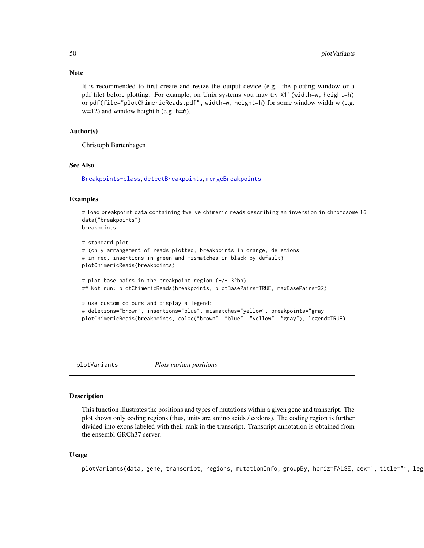#### **Note**

It is recommended to first create and resize the output device (e.g. the plotting window or a pdf file) before plotting. For example, on Unix systems you may try X11(width=w, height=h) or pdf(file="plotChimericReads.pdf", width=w, height=h) for some window width w (e.g.  $w=12$ ) and window height h (e.g. h=6).

## Author(s)

Christoph Bartenhagen

# See Also

[Breakpoints-class](#page-17-0), [detectBreakpoints](#page-25-0), [mergeBreakpoints](#page-44-0)

## Examples

```
# load breakpoint data containing twelve chimeric reads describing an inversion in chromosome 16
data("breakpoints")
breakpoints
```

```
# standard plot
# (only arrangement of reads plotted; breakpoints in orange, deletions
# in red, insertions in green and mismatches in black by default)
plotChimericReads(breakpoints)
# plot base pairs in the breakpoint region (+/- 32bp)
```

```
## Not run: plotChimericReads(breakpoints, plotBasePairs=TRUE, maxBasePairs=32)
```

```
# use custom colours and display a legend:
# deletions="brown", insertions="blue", mismatches="yellow", breakpoints="gray"
plotChimericReads(breakpoints, col=c("brown", "blue", "yellow", "gray"), legend=TRUE)
```
<span id="page-49-0"></span>plotVariants *Plots variant positions*

## **Description**

This function illustrates the positions and types of mutations within a given gene and transcript. The plot shows only coding regions (thus, units are amino acids / codons). The coding region is further divided into exons labeled with their rank in the transcript. Transcript annotation is obtained from the ensembl GRCh37 server.

## Usage

plotVariants(data, gene, transcript, regions, mutationInfo, groupBy, horiz=FALSE, cex=1, title="", leg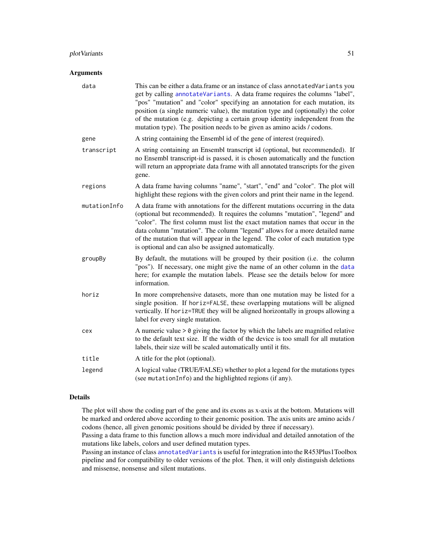# <span id="page-50-0"></span>plot Variants 51

# Arguments

| data         | This can be either a data.frame or an instance of class annotatedVariants you<br>get by calling annotateVariants. A data frame requires the columns "label",<br>"pos" "mutation" and "color" specifying an annotation for each mutation, its<br>position (a single numeric value), the mutation type and (optionally) the color<br>of the mutation (e.g. depicting a certain group identity independent from the<br>mutation type). The position needs to be given as amino acids / codons. |
|--------------|---------------------------------------------------------------------------------------------------------------------------------------------------------------------------------------------------------------------------------------------------------------------------------------------------------------------------------------------------------------------------------------------------------------------------------------------------------------------------------------------|
| gene         | A string containing the Ensembl id of the gene of interest (required).                                                                                                                                                                                                                                                                                                                                                                                                                      |
| transcript   | A string containing an Ensembl transcript id (optional, but recommended). If<br>no Ensembl transcript-id is passed, it is chosen automatically and the function<br>will return an appropriate data frame with all annotated transcripts for the given<br>gene.                                                                                                                                                                                                                              |
| regions      | A data frame having columns "name", "start", "end" and "color". The plot will<br>highlight these regions with the given colors and print their name in the legend.                                                                                                                                                                                                                                                                                                                          |
| mutationInfo | A data frame with annotations for the different mutations occurring in the data<br>(optional but recommended). It requires the columns "mutation", "legend" and<br>"color". The first column must list the exact mutation names that occur in the<br>data column "mutation". The column "legend" allows for a more detailed name<br>of the mutation that will appear in the legend. The color of each mutation type<br>is optional and can also be assigned automatically.                  |
| groupBy      | By default, the mutations will be grouped by their position (i.e. the column<br>"pos"). If necessary, one might give the name of an other column in the data<br>here; for example the mutation labels. Please see the details below for more<br>information.                                                                                                                                                                                                                                |
| horiz        | In more comprehensive datasets, more than one mutation may be listed for a<br>single position. If horiz=FALSE, these overlapping mutations will be aligned<br>vertically. If horiz=TRUE they will be aligned horizontally in groups allowing a<br>label for every single mutation.                                                                                                                                                                                                          |
| cex          | A numeric value $> 0$ giving the factor by which the labels are magnified relative<br>to the default text size. If the width of the device is too small for all mutation<br>labels, their size will be scaled automatically until it fits.                                                                                                                                                                                                                                                  |
| title        | A title for the plot (optional).                                                                                                                                                                                                                                                                                                                                                                                                                                                            |
| legend       | A logical value (TRUE/FALSE) whether to plot a legend for the mutations types<br>(see mutationInfo) and the highlighted regions (if any).                                                                                                                                                                                                                                                                                                                                                   |
|              |                                                                                                                                                                                                                                                                                                                                                                                                                                                                                             |

# Details

The plot will show the coding part of the gene and its exons as x-axis at the bottom. Mutations will be marked and ordered above according to their genomic position. The axis units are amino acids / codons (hence, all given genomic positions should be divided by three if necessary).

Passing a data frame to this function allows a much more individual and detailed annotation of the mutations like labels, colors and user defined mutation types.

Passing an instance of class [annotatedVariants](#page-3-0) is useful for integration into the R453Plus1Toolbox pipeline and for compatibility to older versions of the plot. Then, it will only distinguish deletions and missense, nonsense and silent mutations.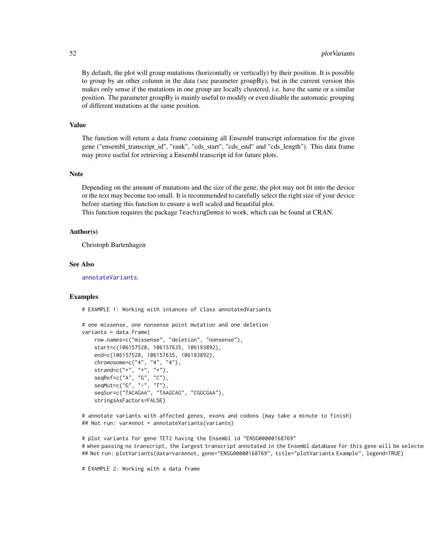<span id="page-51-0"></span>By default, the plot will group mutations (horizontally or vertically) by their position. It is possible to group by an other column in the data (see parameter groupBy), but in the current version this makes only sense if the mutations in one group are locally clustered, i.e. have the same or a similar position. The parameter groupBy is mainly useful to modify or even disable the automatic grouping of different mutations at the same position.

# Value

The function will return a data frame containing all Ensembl transcript information for the given gene ("ensembl\_transcript\_id", "rank", "cds\_start", "cds\_end" and "cds\_length"). This data frame may prove useful for retrieving a Ensembl transcript id for future plots.

#### **Note**

Depending on the amount of mutations and the size of the gene, the plot may not fit into the device or the text may become too small. It is recommended to carefully select the right size of your device before starting this function to ensure a well scaled and beautiful plot.

This function requires the package TeachingDemos to work, which can be found at CRAN.

## Author(s)

Christoph Bartenhagen

#### See Also

[annotateVariants](#page-4-0).

#### Examples

# EXAMPLE 1: Working with intances of class annotatedVariants

```
# one missense, one nonsense point mutation and one deletion
variants = data.frame(
   row.names=c("missense", "deletion", "nonsense"),
   start=c(106157528, 106157635, 106193892),
   end=c(106157528, 106157635, 106193892),
   chromosome=c("4", "4", "4"),
   strand=c("+", "+", "+"),
   seqRef=c("A", "G", "C"),
   seqMut=c("G", "-", "T"),
   seqSur=c("TACAGAA", "TAAGCAG", "CGGCGAA"),
   stringsAsFactors=FALSE)
```
# annotate variants with affected genes, exons and codons (may take a minute to finish) ## Not run: varAnnot = annotateVariants(variants)

# plot variants for gene TET2 having the Ensembl id "ENSG00000168769" # when passing no transcript, the largest transcript annotated in the Ensembl database for this gene will be selecte ## Not run: plotVariants(data=varAnnot, gene="ENSG00000168769", title="plotVariants Example", legend=TRUE)

# EXAMPLE 2: Working with a data frame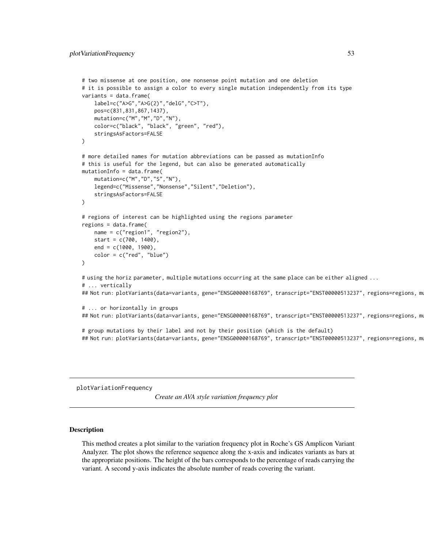```
# two missense at one position, one nonsense point mutation and one deletion
# it is possible to assign a color to every single mutation independently from its type
variants = data.frame(
   label=c("A>G","A>G(2)","delG","C>T"),
   pos=c(831,831,867,1437),
   mutation=c("M","M","D","N"),
   color=c("black", "black", "green", "red"),
    stringsAsFactors=FALSE
\lambda# more detailed names for mutation abbreviations can be passed as mutationInfo
# this is useful for the legend, but can also be generated automatically
mutationInfo = data.frame(
    mutation=c("M","D","S","N"),
   legend=c("Missense","Nonsense","Silent","Deletion"),
    stringsAsFactors=FALSE
\mathcal{L}# regions of interest can be highlighted using the regions parameter
regions = data.frame(
   name = c("region1", "region2"),
   start = c(700, 1400),
   end = c(1000, 1900),
   color = c("red", "blue")
)
# using the horiz parameter, multiple mutations occurring at the same place can be either aligned ...
# ... vertically
## Not run: plotVariants(data=variants, gene="ENSG00000168769", transcript="ENST00000513237", regions=regions, mu
# ... or horizontally in groups
## Not run: plotVariants(data=variants, gene="ENSG00000168769", transcript="ENST00000513237", regions=regions, mu
# group mutations by their label and not by their position (which is the default)
## Not run: plotVariants(data=variants, gene="ENSG00000168769", transcript="ENST00000513237", regions=regions, mu
```
plotVariationFrequency

*Create an AVA style variation frequency plot*

# Description

This method creates a plot similar to the variation frequency plot in Roche's GS Amplicon Variant Analyzer. The plot shows the reference sequence along the x-axis and indicates variants as bars at the appropriate positions. The height of the bars corresponds to the percentage of reads carrying the variant. A second y-axis indicates the absolute number of reads covering the variant.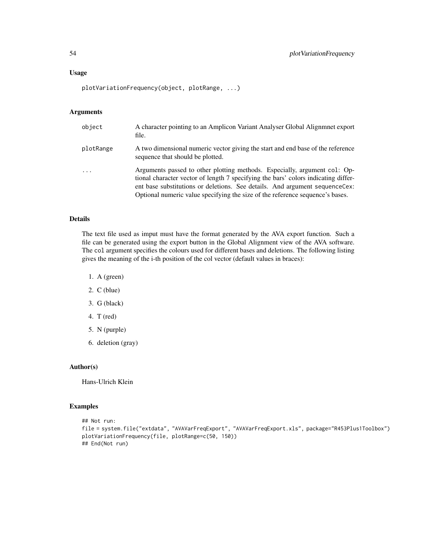plotVariationFrequency(object, plotRange, ...)

## Arguments

| object                  | A character pointing to an Amplicon Variant Analyser Global Alignment export<br>file.                                                                                                                                                                                                                                            |
|-------------------------|----------------------------------------------------------------------------------------------------------------------------------------------------------------------------------------------------------------------------------------------------------------------------------------------------------------------------------|
| plotRange               | A two dimensional numeric vector giving the start and end base of the reference<br>sequence that should be plotted.                                                                                                                                                                                                              |
| $\cdot$ $\cdot$ $\cdot$ | Arguments passed to other plotting methods. Especially, argument col: Op-<br>tional character vector of length 7 specifying the bars' colors indicating differ-<br>ent base substitutions or deletions. See details. And argument sequence Cex:<br>Optional numeric value specifying the size of the reference sequence's bases. |

## Details

The text file used as imput must have the format generated by the AVA export function. Such a file can be generated using the export button in the Global Alignment view of the AVA software. The col argument specifies the colours used for different bases and deletions. The following listing gives the meaning of the i-th position of the col vector (default values in braces):

- 1. A (green)
- 2. C (blue)
- 3. G (black)
- 4. T (red)
- 5. N (purple)
- 6. deletion (gray)

#### Author(s)

Hans-Ulrich Klein

# Examples

```
## Not run:
file = system.file("extdata", "AVAVarFreqExport", "AVAVarFreqExport.xls", package="R453Plus1Toolbox")
plotVariationFrequency(file, plotRange=c(50, 150))
## End(Not run)
```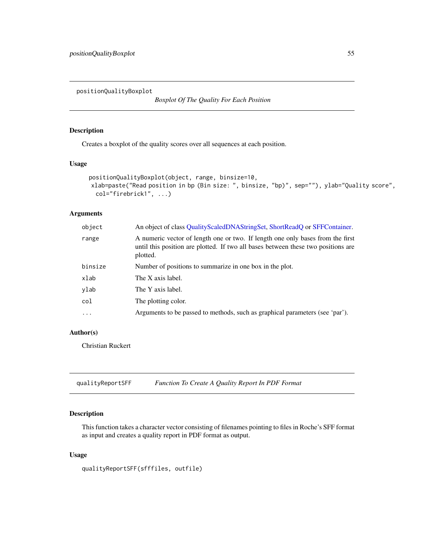<span id="page-54-1"></span><span id="page-54-0"></span>positionQualityBoxplot

*Boxplot Of The Quality For Each Position*

# Description

Creates a boxplot of the quality scores over all sequences at each position.

# Usage

```
positionQualityBoxplot(object, range, binsize=10,
xlab=paste("Read position in bp (Bin size: ", binsize, "bp)", sep=""), ylab="Quality score",
  col="firebrick1", ...)
```
# Arguments

| object     | An object of class QualityScaledDNAStringSet, ShortReadQ or SFFContainer.                                                                                                       |
|------------|---------------------------------------------------------------------------------------------------------------------------------------------------------------------------------|
| range      | A numeric vector of length one or two. If length one only bases from the first<br>until this position are plotted. If two all bases between these two positions are<br>plotted. |
| binsize    | Number of positions to summarize in one box in the plot.                                                                                                                        |
| xlab       | The X axis label.                                                                                                                                                               |
| ylab       | The Y axis label.                                                                                                                                                               |
| col        | The plotting color.                                                                                                                                                             |
| $\ddots$ . | Arguments to be passed to methods, such as graphical parameters (see 'par').                                                                                                    |

# Author(s)

Christian Ruckert

qualityReportSFF *Function To Create A Quality Report In PDF Format*

# Description

This function takes a character vector consisting of filenames pointing to files in Roche's SFF format as input and creates a quality report in PDF format as output.

## Usage

qualityReportSFF(sfffiles, outfile)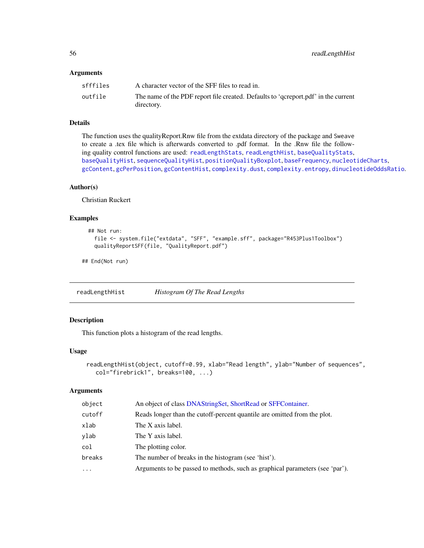## <span id="page-55-1"></span>**Arguments**

| sfffiles | A character vector of the SFF files to read in.                                    |
|----------|------------------------------------------------------------------------------------|
| outfile  | The name of the PDF report file created. Defaults to 'qcreport.pdf' in the current |
|          | directory.                                                                         |

# Details

The function uses the qualityReport.Rnw file from the extdata directory of the package and Sweave to create a .tex file which is afterwards converted to .pdf format. In the .Rnw file the following quality control functions are used: [readLengthStats](#page-56-0), [readLengthHist](#page-55-0), [baseQualityStats](#page-16-0), [baseQualityHist](#page-15-0), [sequenceQualityHist](#page-61-0), [positionQualityBoxplot](#page-54-0), [baseFrequency](#page-15-1), [nucleotideCharts](#page-46-0), [gcContent](#page-33-0), [gcPerPosition](#page-34-0), [gcContentHist](#page-33-1), [complexity.dust](#page-21-0), [complexity.entropy](#page-22-0), [dinucleotideOddsRatio](#page-28-0).

# Author(s)

Christian Ruckert

# Examples

```
## Not run:
  file <- system.file("extdata", "SFF", "example.sff", package="R453Plus1Toolbox")
  qualityReportSFF(file, "QualityReport.pdf")
```
## End(Not run)

<span id="page-55-0"></span>readLengthHist *Histogram Of The Read Lengths*

# Description

This function plots a histogram of the read lengths.

# Usage

```
readLengthHist(object, cutoff=0.99, xlab="Read length", ylab="Number of sequences",
  col="firebrick1", breaks=100, ...)
```
# Arguments

| object   | An object of class DNAStringSet, ShortRead or SFFContainer.                  |  |
|----------|------------------------------------------------------------------------------|--|
| cutoff   | Reads longer than the cutoff-percent quantile are omitted from the plot.     |  |
| xlab     | The X axis label.                                                            |  |
| vlab     | The Y axis label.                                                            |  |
| col      | The plotting color.                                                          |  |
| breaks   | The number of breaks in the histogram (see 'hist').                          |  |
| $\cdots$ | Arguments to be passed to methods, such as graphical parameters (see 'par'). |  |
|          |                                                                              |  |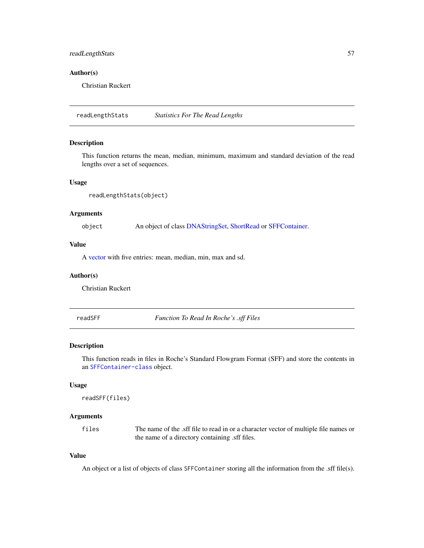# <span id="page-56-2"></span>readLengthStats 57

## Author(s)

Christian Ruckert

<span id="page-56-0"></span>readLengthStats *Statistics For The Read Lengths*

## Description

This function returns the mean, median, minimum, maximum and standard deviation of the read lengths over a set of sequences.

# Usage

```
readLengthStats(object)
```
# Arguments

object An object of class [DNAStringSet,](#page-0-0) [ShortRead](#page-0-0) or [SFFContainer.](#page-63-0)

# Value

A [vector](#page-0-0) with five entries: mean, median, min, max and sd.

#### Author(s)

Christian Ruckert

<span id="page-56-1"></span>readSFF *Function To Read In Roche's .sff Files*

## Description

This function reads in files in Roche's Standard Flowgram Format (SFF) and store the contents in an [SFFContainer-class](#page-63-1) object.

## Usage

```
readSFF(files)
```
#### Arguments

files The name of the .sff file to read in or a character vector of multiple file names or the name of a directory containing .sff files.

# Value

An object or a list of objects of class SFFContainer storing all the information from the .sff file(s).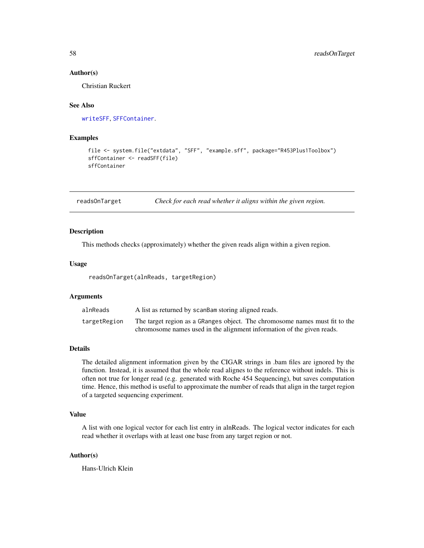#### Author(s)

Christian Ruckert

# See Also

[writeSFF](#page-68-0), [SFFContainer](#page-63-1).

# Examples

```
file <- system.file("extdata", "SFF", "example.sff", package="R453Plus1Toolbox")
sffContainer <- readSFF(file)
sffContainer
```
readsOnTarget *Check for each read whether it aligns within the given region.*

## Description

This methods checks (approximately) whether the given reads align within a given region.

#### Usage

readsOnTarget(alnReads, targetRegion)

# Arguments

| alnReads     | A list as returned by scanBam storing aligned reads.                        |
|--------------|-----------------------------------------------------------------------------|
| targetRegion | The target region as a GRanges object. The chromosome names must fit to the |
|              | chromosome names used in the alignment information of the given reads.      |

#### Details

The detailed alignment information given by the CIGAR strings in .bam files are ignored by the function. Instead, it is assumed that the whole read alignes to the reference without indels. This is often not true for longer read (e.g. generated with Roche 454 Sequencing), but saves computation time. Hence, this method is useful to approximate the number of reads that align in the target region of a targeted sequencing experiment.

# Value

A list with one logical vector for each list entry in alnReads. The logical vector indicates for each read whether it overlaps with at least one base from any target region or not.

## Author(s)

Hans-Ulrich Klein

<span id="page-57-0"></span>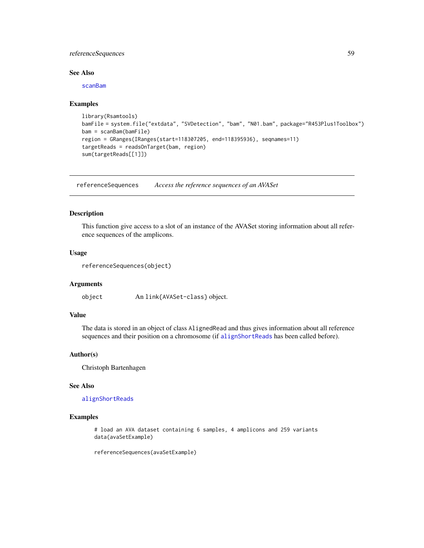# <span id="page-58-0"></span>referenceSequences 59

# See Also

[scanBam](#page-0-0)

#### Examples

```
library(Rsamtools)
bamFile = system.file("extdata", "SVDetection", "bam", "N01.bam", package="R453Plus1Toolbox")
bam = scanBam(bamFile)
region = GRanges(IRanges(start=118307205, end=118395936), seqnames=11)
targetReads = readsOnTarget(bam, region)
sum(targetReads[[1]])
```
referenceSequences *Access the reference sequences of an AVASet*

# Description

This function give access to a slot of an instance of the AVASet storing information about all reference sequences of the amplicons.

## Usage

```
referenceSequences(object)
```
#### Arguments

object An link{AVASet-class} object.

# Value

The data is stored in an object of class AlignedRead and thus gives information about all reference sequences and their position on a chromosome (if [alignShortReads](#page-2-0) has been called before).

# Author(s)

Christoph Bartenhagen

# See Also

[alignShortReads](#page-2-0)

#### Examples

# load an AVA dataset containing 6 samples, 4 amplicons and 259 variants data(avaSetExample)

referenceSequences(avaSetExample)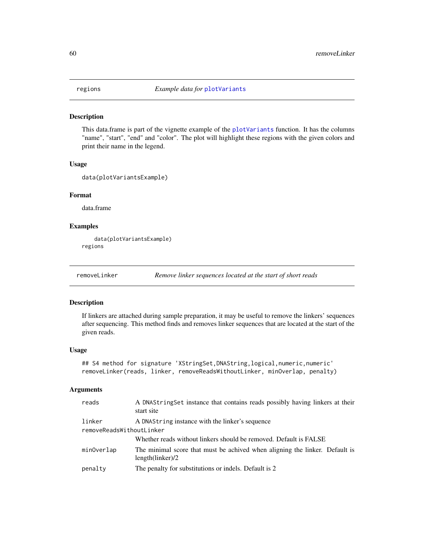<span id="page-59-1"></span>

#### Description

This data.frame is part of the vignette example of the [plotVariants](#page-49-0) function. It has the columns "name", "start", "end" and "color". The plot will highlight these regions with the given colors and print their name in the legend.

#### Usage

```
data(plotVariantsExample)
```
#### Format

data.frame

## Examples

```
data(plotVariantsExample)
regions
```
<span id="page-59-0"></span>removeLinker *Remove linker sequences located at the start of short reads*

#### Description

If linkers are attached during sample preparation, it may be useful to remove the linkers' sequences after sequencing. This method finds and removes linker sequences that are located at the start of the given reads.

## Usage

```
## S4 method for signature 'XStringSet, DNAString, logical, numeric, numeric'
removeLinker(reads, linker, removeReadsWithoutLinker, minOverlap, penalty)
```
# Arguments

| reads                    | A DNAStringSet instance that contains reads possibly having linkers at their<br>start site      |  |
|--------------------------|-------------------------------------------------------------------------------------------------|--|
| linker                   | A DNAString instance with the linker's sequence                                                 |  |
| removeReadsWithoutLinker |                                                                                                 |  |
|                          | Whether reads without linkers should be removed. Default is FALSE                               |  |
| minOverlap               | The minimal score that must be achived when aligning the linker. Default is<br>length(linker)/2 |  |
| penalty                  | The penalty for substitutions or indels. Default is 2                                           |  |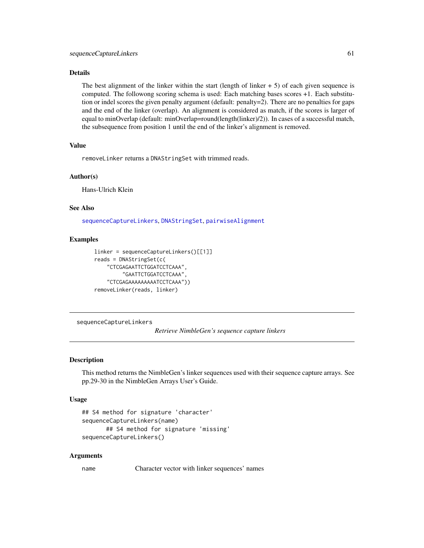# <span id="page-60-1"></span>Details

The best alignment of the linker within the start (length of linker  $+5$ ) of each given sequence is computed. The followong scoring schema is used: Each matching bases scores +1. Each substitution or indel scores the given penalty argument (default: penalty=2). There are no penalties for gaps and the end of the linker (overlap). An alignment is considered as match, if the scores is larger of equal to minOverlap (default: minOverlap=round(length(linker)/2)). In cases of a successful match, the subsequence from position 1 until the end of the linker's alignment is removed.

# Value

removeLinker returns a DNAStringSet with trimmed reads.

#### Author(s)

Hans-Ulrich Klein

## See Also

[sequenceCaptureLinkers](#page-60-0), [DNAStringSet](#page-0-0), [pairwiseAlignment](#page-0-0)

## Examples

```
linker = sequenceCaptureLinkers()[[1]]
reads = DNAStringSet(c(
    "CTCGAGAATTCTGGATCCTCAAA",
         "GAATTCTGGATCCTCAAA",
    "CTCGAGAAAAAAAAATCCTCAAA"))
removeLinker(reads, linker)
```
<span id="page-60-0"></span>sequenceCaptureLinkers

*Retrieve NimbleGen's sequence capture linkers*

# Description

This method returns the NimbleGen's linker sequences used with their sequence capture arrays. See pp.29-30 in the NimbleGen Arrays User's Guide.

## Usage

```
## S4 method for signature 'character'
sequenceCaptureLinkers(name)
      ## S4 method for signature 'missing'
sequenceCaptureLinkers()
```
## Arguments

name Character vector with linker sequences' names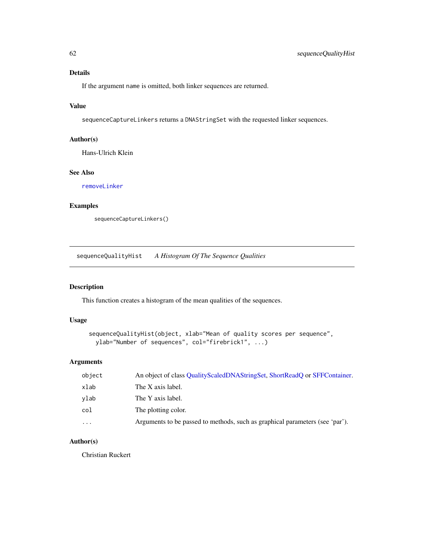# <span id="page-61-1"></span>Details

If the argument name is omitted, both linker sequences are returned.

# Value

sequenceCaptureLinkers returns a DNAStringSet with the requested linker sequences.

# Author(s)

Hans-Ulrich Klein

# See Also

[removeLinker](#page-59-0)

# Examples

```
sequenceCaptureLinkers()
```
<span id="page-61-0"></span>sequenceQualityHist *A Histogram Of The Sequence Qualities*

## Description

This function creates a histogram of the mean qualities of the sequences.

# Usage

```
sequenceQualityHist(object, xlab="Mean of quality scores per sequence",
 ylab="Number of sequences", col="firebrick1", ...)
```
# Arguments

| object   | An object of class QualityScaledDNAStringSet, ShortReadQ or SFFContainer.    |  |
|----------|------------------------------------------------------------------------------|--|
| xlab     | The X axis label.                                                            |  |
| vlab     | The Y axis label.                                                            |  |
| col      | The plotting color.                                                          |  |
| $\cdots$ | Arguments to be passed to methods, such as graphical parameters (see 'par'). |  |

# Author(s)

Christian Ruckert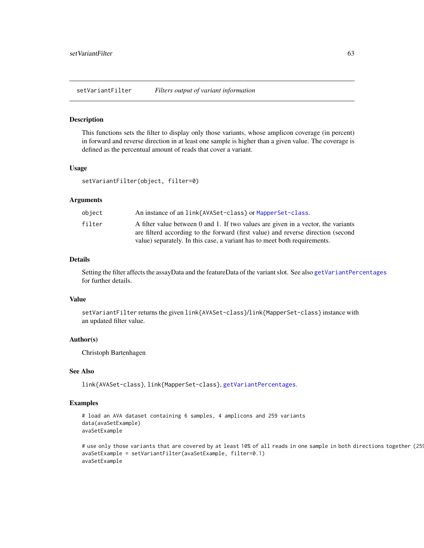<span id="page-62-0"></span>setVariantFilter *Filters output of variant information*

## Description

This functions sets the filter to display only those variants, whose amplicon coverage (in percent) in forward and reverse direction in at least one sample is higher than a given value. The coverage is defined as the percentual amount of reads that cover a variant.

## Usage

setVariantFilter(object, filter=0)

## **Arguments**

| object | An instance of an link{AVASet-class} or MapperSet-class.                                                                                                              |
|--------|-----------------------------------------------------------------------------------------------------------------------------------------------------------------------|
| filter | A filter value between 0 and 1. If two values are given in a vector, the variants<br>are filterd according to the forward (first value) and reverse direction (second |
|        | value) separately. In this case, a variant has to meet both requirements.                                                                                             |

#### Details

Setting the filter affects the assayData and the featureData of the variant slot. See also [getVariantPercentages](#page-37-0) for further details.

## Value

setVariantFilter returns the given link{AVASet-class}/link{MapperSet-class} instance with an updated filter value.

# Author(s)

Christoph Bartenhagen

# See Also

link{AVASet-class}, link{MapperSet-class}, [getVariantPercentages](#page-37-0).

# Examples

```
# load an AVA dataset containing 6 samples, 4 amplicons and 259 variants
data(avaSetExample)
avaSetExample
```

```
# use only those variants that are covered by at least 10% of all reads in one sample in both directions together (25
avaSetExample = setVariantFilter(avaSetExample, filter=0.1)
avaSetExample
```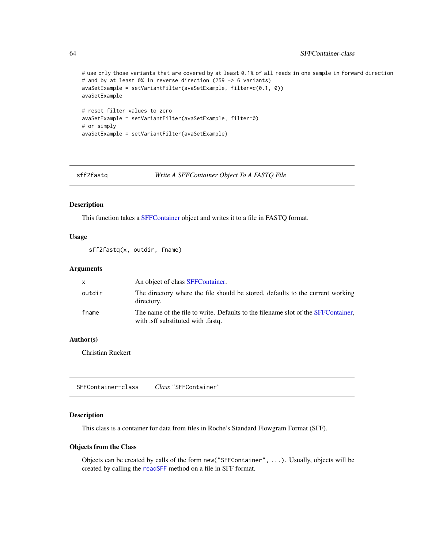```
# use only those variants that are covered by at least 0.1% of all reads in one sample in forward direction
# and by at least 0% in reverse direction (259 -> 6 variants)
avaSetExample = setVariantFilter(avaSetExample, filter=c(0.1, 0))
avaSetExample
# reset filter values to zero
avaSetExample = setVariantFilter(avaSetExample, filter=0)
# or simply
avaSetExample = setVariantFilter(avaSetExample)
```
sff2fastq *Write A SFFContainer Object To A FASTQ File*

## Description

This function takes a [SFFContainer](#page-63-0) object and writes it to a file in FASTQ format.

# Usage

sff2fastq(x, outdir, fname)

## Arguments

| x      | An object of class SFFContainer.                                                                                      |
|--------|-----------------------------------------------------------------------------------------------------------------------|
| outdir | The directory where the file should be stored, defaults to the current working<br>directory.                          |
| fname  | The name of the file to write. Defaults to the filename slot of the SFFContainer,<br>with sff substituted with fastq. |

## Author(s)

Christian Ruckert

<span id="page-63-1"></span>SFFContainer-class *Class* "SFFContainer"

# <span id="page-63-0"></span>Description

This class is a container for data from files in Roche's Standard Flowgram Format (SFF).

#### Objects from the Class

Objects can be created by calls of the form new("SFFContainer", ...). Usually, objects will be created by calling the [readSFF](#page-56-1) method on a file in SFF format.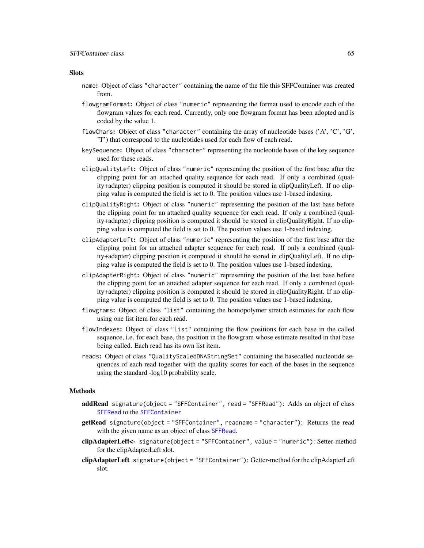# Slots

- name: Object of class "character" containing the name of the file this SFFContainer was created from.
- flowgramFormat: Object of class "numeric" representing the format used to encode each of the flowgram values for each read. Currently, only one flowgram format has been adopted and is coded by the value 1.
- flowChars: Object of class "character" containing the array of nucleotide bases  $(A', C', G',$ 'T') that correspond to the nucleotides used for each flow of each read.
- keySequence: Object of class "character" representing the nucleotide bases of the key sequence used for these reads.
- clipQualityLeft: Object of class "numeric" representing the position of the first base after the clipping point for an attached quality sequence for each read. If only a combined (quality+adapter) clipping position is computed it should be stored in clipQualityLeft. If no clipping value is computed the field is set to 0. The position values use 1-based indexing.
- clipQualityRight: Object of class "numeric" representing the position of the last base before the clipping point for an attached quality sequence for each read. If only a combined (quality+adapter) clipping position is computed it should be stored in clipQualityRight. If no clipping value is computed the field is set to 0. The position values use 1-based indexing.
- clipAdapterLeft: Object of class "numeric" representing the position of the first base after the clipping point for an attached adapter sequence for each read. If only a combined (quality+adapter) clipping position is computed it should be stored in clipQualityLeft. If no clipping value is computed the field is set to 0. The position values use 1-based indexing.
- clipAdapterRight: Object of class "numeric" representing the position of the last base before the clipping point for an attached adapter sequence for each read. If only a combined (quality+adapter) clipping position is computed it should be stored in clipQualityRight. If no clipping value is computed the field is set to 0. The position values use 1-based indexing.
- flowgrams: Object of class "list" containing the homopolymer stretch estimates for each flow using one list item for each read.
- flowIndexes: Object of class "list" containing the flow positions for each base in the called sequence, i.e. for each base, the position in the flowgram whose estimate resulted in that base being called. Each read has its own list item.
- reads: Object of class "QualityScaledDNAStringSet" containing the basecalled nucleotide sequences of each read together with the quality scores for each of the bases in the sequence using the standard -log10 probability scale.

## Methods

- addRead signature(object = "SFFContainer", read = "SFFRead"): Adds an object of class [SFFRead](#page-66-1) to the [SFFContainer](#page-63-1)
- getRead signature(object = "SFFContainer", readname = "character"): Returns the read with the given name as an object of class [SFFRead](#page-66-1).
- clipAdapterLeft<- signature(object = "SFFContainer", value = "numeric"): Setter-method for the clipAdapterLeft slot.
- clipAdapterLeft signature(object = "SFFContainer"): Getter-method for the clipAdapterLeft slot.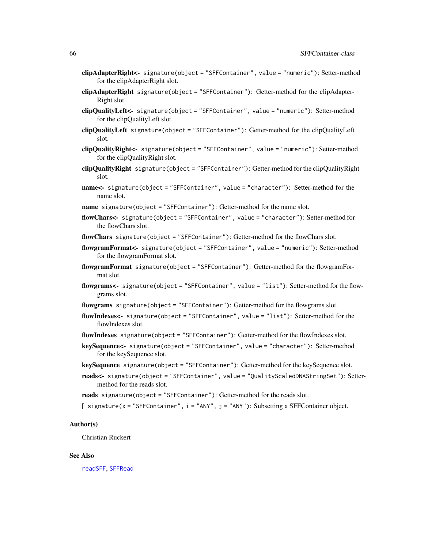- clipAdapterRight<- signature(object = "SFFContainer", value = "numeric"): Setter-method for the clipAdapterRight slot.
- clipAdapterRight signature(object = "SFFContainer"): Getter-method for the clipAdapter-Right slot.
- clipQualityLeft<- signature(object = "SFFContainer", value = "numeric"): Setter-method for the clipQualityLeft slot.
- clipQualityLeft signature(object = "SFFContainer"): Getter-method for the clipQualityLeft slot.
- clipQualityRight<- signature(object = "SFFContainer", value = "numeric"): Setter-method for the clipQualityRight slot.
- clipQualityRight signature(object = "SFFContainer"): Getter-method for the clipQualityRight slot.
- name<- signature(object = "SFFContainer", value = "character"): Setter-method for the name slot.
- name signature(object = "SFFContainer"): Getter-method for the name slot.
- flowChars<- signature(object = "SFFContainer", value = "character"): Setter-method for the flowChars slot.
- flowChars signature(object = "SFFContainer"): Getter-method for the flowChars slot.
- flowgramFormat<- signature(object = "SFFContainer", value = "numeric"): Setter-method for the flowgramFormat slot.
- flowgramFormat signature(object = "SFFContainer"): Getter-method for the flowgramFormat slot.
- flowgrams<- signature(object = "SFFContainer", value = "list"): Setter-method for the flowgrams slot.
- flowgrams signature(object = "SFFContainer"): Getter-method for the flowgrams slot.
- flowIndexes<- signature(object = "SFFContainer", value = "list"): Setter-method for the flowIndexes slot.
- flowIndexes signature(object = "SFFContainer"): Getter-method for the flowIndexes slot.
- keySequence<- signature(object = "SFFContainer", value = "character"): Setter-method for the keySequence slot.
- keySequence signature(object = "SFFContainer"): Getter-method for the keySequence slot.
- reads<- signature(object = "SFFContainer", value = "QualityScaledDNAStringSet"): Settermethod for the reads slot.
- reads signature(object = "SFFContainer"): Getter-method for the reads slot.
- [ signature(x = "SFFContainer", i = "ANY", j = "ANY"): Subsetting a SFFContainer object.

## Author(s)

Christian Ruckert

## See Also

[readSFF](#page-56-1), [SFFRead](#page-66-1)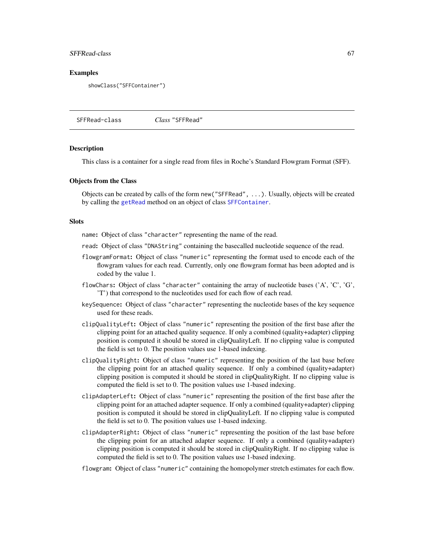## <span id="page-66-2"></span>SFFRead-class 67

## Examples

showClass("SFFContainer")

<span id="page-66-1"></span>SFFRead-class *Class* "SFFRead"

#### <span id="page-66-0"></span>Description

This class is a container for a single read from files in Roche's Standard Flowgram Format (SFF).

#### Objects from the Class

Objects can be created by calls of the form new("SFFRead", ...). Usually, objects will be created by calling the [getRead](#page-63-0) method on an object of class [SFFContainer](#page-63-1).

#### **Slots**

name: Object of class "character" representing the name of the read.

- read: Object of class "DNAString" containing the basecalled nucleotide sequence of the read.
- flowgramFormat: Object of class "numeric" representing the format used to encode each of the flowgram values for each read. Currently, only one flowgram format has been adopted and is coded by the value 1.
- flowChars: Object of class "character" containing the array of nucleotide bases  $(A', C', G', G')$ 'T') that correspond to the nucleotides used for each flow of each read.
- keySequence: Object of class "character" representing the nucleotide bases of the key sequence used for these reads.
- clipQualityLeft: Object of class "numeric" representing the position of the first base after the clipping point for an attached quality sequence. If only a combined (quality+adapter) clipping position is computed it should be stored in clipQualityLeft. If no clipping value is computed the field is set to 0. The position values use 1-based indexing.
- clipQualityRight: Object of class "numeric" representing the position of the last base before the clipping point for an attached quality sequence. If only a combined (quality+adapter) clipping position is computed it should be stored in clipQualityRight. If no clipping value is computed the field is set to 0. The position values use 1-based indexing.
- clipAdapterLeft: Object of class "numeric" representing the position of the first base after the clipping point for an attached adapter sequence. If only a combined (quality+adapter) clipping position is computed it should be stored in clipQualityLeft. If no clipping value is computed the field is set to 0. The position values use 1-based indexing.
- clipAdapterRight: Object of class "numeric" representing the position of the last base before the clipping point for an attached adapter sequence. If only a combined (quality+adapter) clipping position is computed it should be stored in clipQualityRight. If no clipping value is computed the field is set to 0. The position values use 1-based indexing.

flowgram: Object of class "numeric" containing the homopolymer stretch estimates for each flow.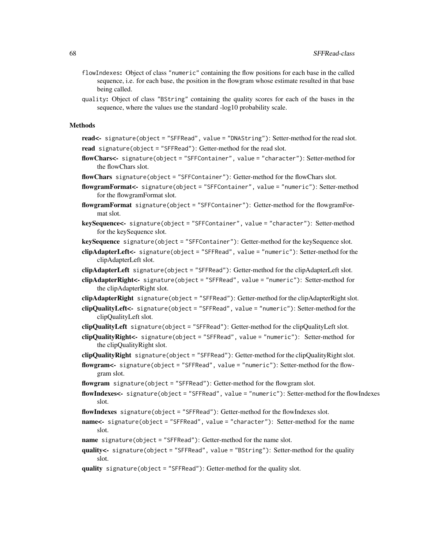- flowIndexes: Object of class "numeric" containing the flow positions for each base in the called sequence, i.e. for each base, the position in the flowgram whose estimate resulted in that base being called.
- quality: Object of class "BString" containing the quality scores for each of the bases in the sequence, where the values use the standard -log10 probability scale.

#### Methods

read<- signature(object = "SFFRead", value = "DNAString"): Setter-method for the read slot. read signature(object = "SFFRead"): Getter-method for the read slot.

- flowChars<- signature(object = "SFFContainer", value = "character"): Setter-method for the flowChars slot.
- flowChars signature(object = "SFFContainer"): Getter-method for the flowChars slot.
- flowgramFormat<- signature(object = "SFFContainer", value = "numeric"): Setter-method for the flowgramFormat slot.
- flowgramFormat signature(object = "SFFContainer"): Getter-method for the flowgramFormat slot.
- keySequence<- signature(object = "SFFContainer", value = "character"): Setter-method for the keySequence slot.
- keySequence signature(object = "SFFContainer"): Getter-method for the keySequence slot.
- clipAdapterLeft<- signature(object = "SFFRead", value = "numeric"): Setter-method for the clipAdapterLeft slot.
- clipAdapterLeft signature(object = "SFFRead"): Getter-method for the clipAdapterLeft slot.
- clipAdapterRight<- signature(object = "SFFRead", value = "numeric"): Setter-method for the clipAdapterRight slot.
- clipAdapterRight signature(object = "SFFRead"): Getter-method for the clipAdapterRight slot.
- clipQualityLeft<- signature(object = "SFFRead", value = "numeric"): Setter-method for the clipQualityLeft slot.
- clipQualityLeft signature(object = "SFFRead"): Getter-method for the clipQualityLeft slot.
- clipQualityRight<- signature(object = "SFFRead", value = "numeric"): Setter-method for the clipQualityRight slot.
- $clipQualityRight$  signature(object = "SFFRead"): Getter-method for the clipQualityRight slot.
- flowgram<- signature(object = "SFFRead", value = "numeric"): Setter-method for the flowgram slot.
- flowgram signature(object = "SFFRead"): Getter-method for the flowgram slot.
- flowIndexes<- signature(object = "SFFRead", value = "numeric"): Setter-method for the flowIndexes slot.
- flowIndexes signature(object = "SFFRead"): Getter-method for the flowIndexes slot.
- name<- signature(object = "SFFRead", value = "character"): Setter-method for the name slot.
- **name** signature(object = "SFFRead"): Getter-method for the name slot.
- quality<- signature(object = "SFFRead", value = "BString"): Setter-method for the quality slot.
- quality signature(object = "SFFRead"): Getter-method for the quality slot.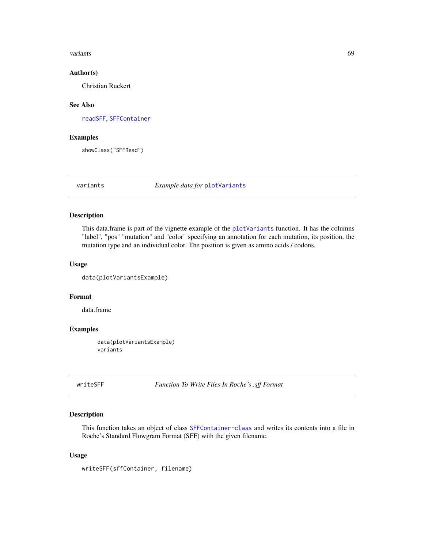#### <span id="page-68-1"></span>variants 69

## Author(s)

Christian Ruckert

# See Also

[readSFF](#page-56-1), [SFFContainer](#page-63-1)

# Examples

showClass("SFFRead")

variants *Example data for* [plotVariants](#page-49-0)

## Description

This data.frame is part of the vignette example of the [plotVariants](#page-49-0) function. It has the columns "label", "pos" "mutation" and "color" specifying an annotation for each mutation, its position, the mutation type and an individual color. The position is given as amino acids / codons.

#### Usage

data(plotVariantsExample)

# Format

data.frame

# Examples

data(plotVariantsExample) variants

<span id="page-68-0"></span>writeSFF *Function To Write Files In Roche's .sff Format*

# Description

This function takes an object of class [SFFContainer-class](#page-63-1) and writes its contents into a file in Roche's Standard Flowgram Format (SFF) with the given filename.

## Usage

writeSFF(sffContainer, filename)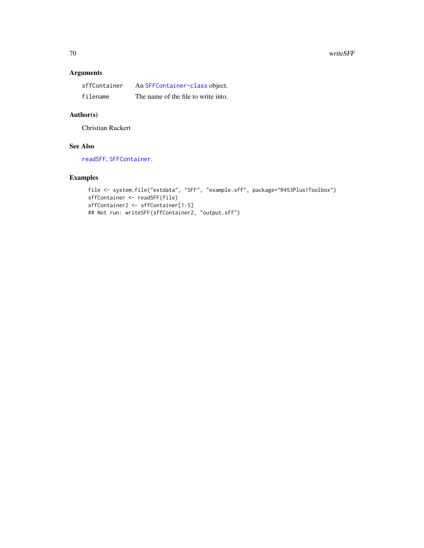# Arguments

| sffContainer | An SFFContainer-class object.       |
|--------------|-------------------------------------|
| filename     | The name of the file to write into. |

# Author(s)

Christian Ruckert

# See Also

[readSFF](#page-56-1), [SFFContainer](#page-63-1).

# Examples

```
file <- system.file("extdata", "SFF", "example.sff", package="R453Plus1Toolbox")
sffContainer <- readSFF(file)
sffContainer2 <- sffContainer[1:5]
## Not run: writeSFF(sffContainer2, "output.sff")
```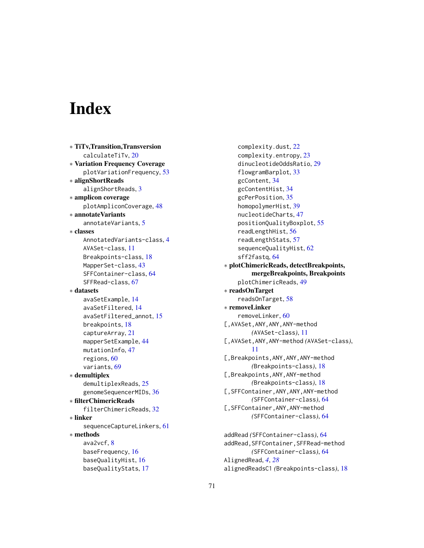# **Index**

∗ TiTv,Transition,Transversion calculateTiTv, [20](#page-19-0) ∗ Variation Frequency Coverage plotVariationFrequency, [53](#page-52-0) ∗ alignShortReads alignShortReads, [3](#page-2-1) ∗ amplicon coverage plotAmpliconCoverage, [48](#page-47-0) ∗ annotateVariants annotateVariants, [5](#page-4-1) ∗ classes AnnotatedVariants-class, [4](#page-3-1) AVASet-class, [11](#page-10-1) Breakpoints-class, [18](#page-17-1) MapperSet-class, [43](#page-42-1) SFFContainer-class, [64](#page-63-2) SFFRead-class, [67](#page-66-2) ∗ datasets avaSetExample, [14](#page-13-0) avaSetFiltered, [14](#page-13-0) avaSetFiltered\_annot, [15](#page-14-0) breakpoints, [18](#page-17-1) captureArray, [21](#page-20-0) mapperSetExample, [44](#page-43-0) mutationInfo, [47](#page-46-1) regions, [60](#page-59-1) variants, [69](#page-68-1) ∗ demultiplex demultiplexReads, [25](#page-24-0) genomeSequencerMIDs, [36](#page-35-0) ∗ filterChimericReads filterChimericReads, [32](#page-31-1) ∗ linker sequenceCaptureLinkers, [61](#page-60-1) ∗ methods ava2vcf, [8](#page-7-0) baseFrequency, [16](#page-15-2) baseQualityHist, [16](#page-15-2) baseQualityStats, [17](#page-16-1)

complexity.dust, [22](#page-21-1) complexity.entropy, [23](#page-22-1) dinucleotideOddsRatio, [29](#page-28-1) flowgramBarplot, [33](#page-32-0) gcContent, [34](#page-33-2) gcContentHist, [34](#page-33-2) gcPerPosition, [35](#page-34-1) homopolymerHist, [39](#page-38-0) nucleotideCharts, [47](#page-46-1) positionQualityBoxplot, [55](#page-54-1) readLengthHist, [56](#page-55-1) readLengthStats, [57](#page-56-2) sequenceQualityHist, [62](#page-61-1) sff2fastq, [64](#page-63-2) ∗ plotChimericReads, detectBreakpoints, mergeBreakpoints, Breakpoints plotChimericReads, [49](#page-48-1) ∗ readsOnTarget readsOnTarget, [58](#page-57-0) ∗ removeLinker removeLinker, [60](#page-59-1) [,AVASet,ANY,ANY,ANY-method *(*AVASet-class*)*, [11](#page-10-1) [,AVASet,ANY,ANY-method *(*AVASet-class*)*, [11](#page-10-1) [,Breakpoints,ANY,ANY,ANY-method *(*Breakpoints-class*)*, [18](#page-17-1) [,Breakpoints,ANY,ANY-method *(*Breakpoints-class*)*, [18](#page-17-1) [,SFFContainer,ANY,ANY,ANY-method *(*SFFContainer-class*)*, [64](#page-63-2) [,SFFContainer,ANY,ANY-method *(*SFFContainer-class*)*, [64](#page-63-2)

```
addRead (SFFContainer-class), 64
addRead,SFFContainer,SFFRead-method
        (SFFContainer-class), 64
AlignedRead, 4, 28
alignedReadsC1 (Breakpoints-class), 18
```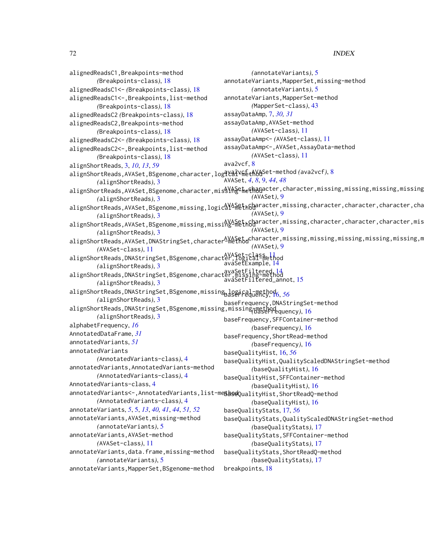alignedReadsC1,Breakpoints-method *(*Breakpoints-class*)*, [18](#page-17-1) alignedReadsC1<- *(*Breakpoints-class*)*, [18](#page-17-1) alignedReadsC1<-,Breakpoints,list-method *(*Breakpoints-class*)*, [18](#page-17-1) alignedReadsC2 *(*Breakpoints-class*)*, [18](#page-17-1) alignedReadsC2,Breakpoints-method *(*Breakpoints-class*)*, [18](#page-17-1) alignedReadsC2<- *(*Breakpoints-class*)*, [18](#page-17-1) alignedReadsC2<-,Breakpoints,list-method *(*Breakpoints-class*)*, [18](#page-17-1) alignShortReads, [3,](#page-2-1) *[10](#page-9-0)*, *[13](#page-12-0)*, *[59](#page-58-0)* alignShortReads,AVASet,BSgenome,character,logical-method ava2vcf,AVASet-method *(*ava2vcf*)*, [8](#page-7-0) *(*alignShortReads*)*, [3](#page-2-1) alignShortReads,AVASet,BSgenome,character,misSY<del>h§thethana</del>cter,character,missing,missing,missing,missing *(*alignShortReads*)*, [3](#page-2-1) alignShortReads,AVASet,BSgenome,missing,logicaYASethcharacter,missing,character,character,character,cha *(*alignShortReads*)*, [3](#page-2-1) alignShortReads,AVASet,BSgenome,missing,missi $\frac{N}{2}$ heth $\frac{C}{2}$ aracter,missing,character,character,character,mis *(*alignShortReads*)*, [3](#page-2-1) alignShortReads,AVASet,DNAStringSet,character<sup>AVASet</sup>,character,missing,missing,missing,missing,missing,m *(*AVASet-class*)*, [11](#page-10-1) alignShortReads,DNAStringSet,BSgenome,character,logical-method AVASet-class, [11](#page-10-1) *(*alignShortReads*)*, [3](#page-2-1) alignShortReads,DNAStringSet,BSgenome,character,missing-method<br>alignShortReads,DNAStringSet,BSgenome,character,missing-method *(*alignShortReads*)*, [3](#page-2-1) alignShortReads,DNAStringSet,BSgenome,missing,logical-method baseFrequency, [16,](#page-15-2) *[56](#page-55-1) (*alignShortReads*)*, [3](#page-2-1) alignShortReads,DNAStringSet,BSgenome,missing,missing-method *(*baseFrequency*)*, [16](#page-15-2) *(*alignShortReads*)*, [3](#page-2-1) alphabetFrequency, *[16](#page-15-2)* AnnotatedDataFrame, *[31](#page-30-0)* annotatedVariants, *[51](#page-50-0)* annotatedVariants *(*AnnotatedVariants-class*)*, [4](#page-3-1) annotatedVariants,AnnotatedVariants-method *(*AnnotatedVariants-class*)*, [4](#page-3-1) AnnotatedVariants-class, [4](#page-3-1) annotatedVariants<-,AnnotatedVariants,list-method baseQualityHist,ShortReadQ-method *(*AnnotatedVariants-class*)*, [4](#page-3-1) annotateVariants, *[5](#page-4-1)*, [5,](#page-4-1) *[13](#page-12-0)*, *[40,](#page-39-1) [41](#page-40-0)*, *[44](#page-43-0)*, *[51,](#page-50-0) [52](#page-51-0)* annotateVariants,AVASet,missing-method *(*annotateVariants*)*, [5](#page-4-1) annotateVariants,AVASet-method *(*AVASet-class*)*, [11](#page-10-1) annotateVariants,data.frame,missing-method *(*annotateVariants*)*, [5](#page-4-1) annotateVariants,MapperSet,BSgenome-method *(*annotateVariants*)*, [5](#page-4-1) annotateVariants,MapperSet,missing-method *(*annotateVariants*)*, [5](#page-4-1) annotateVariants,MapperSet-method *(*MapperSet-class*)*, [43](#page-42-1) assayDataAmp, [7,](#page-6-0) *[30,](#page-29-1) [31](#page-30-0)* assayDataAmp,AVASet-method *(*AVASet-class*)*, [11](#page-10-1) assayDataAmp<- *(*AVASet-class*)*, [11](#page-10-1) assayDataAmp<-,AVASet,AssayData-method *(*AVASet-class*)*, [11](#page-10-1) ava2vcf, [8](#page-7-0) AVASet, *[4](#page-3-1)*, *[8](#page-7-0)*, [9,](#page-8-1) *[44](#page-43-0)*, *[48](#page-47-0) (*AVASet*)*, [9](#page-8-1) *(*AVASet*)*, [9](#page-8-1) *(*AVASet*)*, [9](#page-8-1) *(*AVASet*)*, [9](#page-8-1) avaSetExample, [14](#page-13-0) avaSetFiltered\_annot, [15](#page-14-0) baseFrequency,DNAStringSet-method baseFrequency,SFFContainer-method *(*baseFrequency*)*, [16](#page-15-2) baseFrequency,ShortRead-method *(*baseFrequency*)*, [16](#page-15-2) baseQualityHist, [16,](#page-15-2) *[56](#page-55-1)* baseQualityHist,QualityScaledDNAStringSet-method *(*baseQualityHist*)*, [16](#page-15-2) baseQualityHist,SFFContainer-method *(*baseQualityHist*)*, [16](#page-15-2) *(*baseQualityHist*)*, [16](#page-15-2) baseQualityStats, [17,](#page-16-1) *[56](#page-55-1)* baseQualityStats,QualityScaledDNAStringSet-method *(*baseQualityStats*)*, [17](#page-16-1) baseQualityStats,SFFContainer-method *(*baseQualityStats*)*, [17](#page-16-1) baseQualityStats,ShortReadQ-method *(*baseQualityStats*)*, [17](#page-16-1) breakpoints, [18](#page-17-1)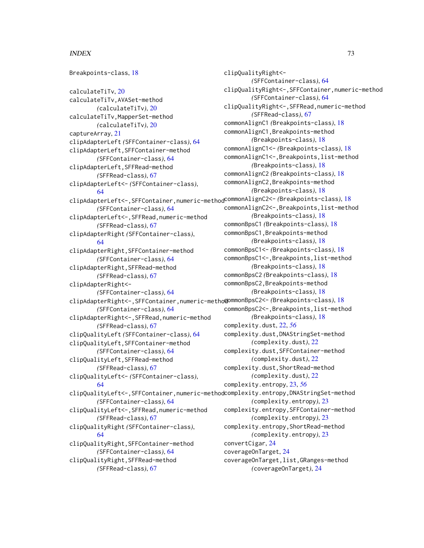## $I<sub>N</sub>$   $I<sub>3</sub>$   $I<sub>3</sub>$   $I<sub>4</sub>$   $I<sub>5</sub>$   $I<sub>6</sub>$   $I<sub>7</sub>$   $I<sub>8</sub>$   $I<sub>9</sub>$   $I<sub>9</sub>$   $I<sub>9</sub>$   $I<sub>9</sub>$   $I<sub>9</sub>$   $I<sub>9</sub>$   $I<sub>9</sub>$   $I<sub>9</sub>$   $I<sub>9</sub>$   $I<sub>9</sub>$   $I<sub>9</sub>$   $I<sub>9</sub>$   $I$

```
Breakpoints-class, 18
calculateTiTv, 20
calculateTiTv,AVASet-method
        (calculateTiTv), 20
calculateTiTv,MapperSet-method
        (calculateTiTv), 20
captureArray, 21
clipAdapterLeft (SFFContainer-class), 64
clipAdapterLeft,SFFContainer-method
        (SFFContainer-class), 64
clipAdapterLeft,SFFRead-method
        (SFFRead-class), 67
clipAdapterLeft<- (SFFContainer-class),
        64
clipAdapterLeft<-,SFFContainer,numeric-method
commonAlignC2<- (Breakpoints-class), 18
        (SFFContainer-class), 64
clipAdapterLeft<-,SFFRead,numeric-method
        (SFFRead-class), 67
clipAdapterRight (SFFContainer-class),
        64
clipAdapterRight,SFFContainer-method
        (SFFContainer-class), 64
clipAdapterRight,SFFRead-method
        (SFFRead-class), 67
clipAdapterRight<-
        (SFFContainer-class), 64
clipAdapterRight<-,SFFContainer,numeric-method
commonBpsC2<- (Breakpoints-class), 18
        (SFFContainer-class), 64
clipAdapterRight<-,SFFRead,numeric-method
        (SFFRead-class), 67
clipQualityLeft (SFFContainer-class), 64
clipQualityLeft,SFFContainer-method
        (SFFContainer-class), 64
clipQualityLeft,SFFRead-method
        (SFFRead-class), 67
clipQualityLeft<- (SFFContainer-class),
        64
clipQualityLeft<-,SFFContainer,numeric-method
complexity.entropy,DNAStringSet-method
        (SFFContainer-class), 64
clipQualityLeft<-,SFFRead,numeric-method
        (SFFRead-class), 67
clipQualityRight (SFFContainer-class),
        64
clipQualityRight,SFFContainer-method
        (SFFContainer-class), 64
clipQualityRight,SFFRead-method
        (SFFRead-class), 67
                                              clipQualityRight<-
                                                       (SFFContainer-class), 64
                                              clipQualityRight<-,SFFContainer,numeric-method
                                                       (SFFContainer-class), 64
                                               clipQualityRight<-,SFFRead,numeric-method
                                                       (SFFRead-class), 67
                                               commonAlignC1 (Breakpoints-class), 18
                                               commonAlignC1,Breakpoints-method
                                                       (Breakpoints-class), 18
                                               commonAlignC1<- (Breakpoints-class), 18
                                               commonAlignC1<-,Breakpoints,list-method
                                                       (Breakpoints-class), 18
                                               commonAlignC2 (Breakpoints-class), 18
                                               commonAlignC2,Breakpoints-method
                                                       (Breakpoints-class), 18
                                               commonAlignC2<-,Breakpoints,list-method
                                                       (Breakpoints-class), 18
                                               commonBpsC1 (Breakpoints-class), 18
                                               commonBpsC1,Breakpoints-method
                                                       (Breakpoints-class), 18
                                               commonBpsC1<- (Breakpoints-class), 18
                                               commonBpsC1<-,Breakpoints,list-method
                                                       (Breakpoints-class), 18
                                               commonBpsC2 (Breakpoints-class), 18
                                               commonBpsC2,Breakpoints-method
                                                       (Breakpoints-class), 18
                                               commonBpsC2<-,Breakpoints,list-method
                                                       (Breakpoints-class), 18
                                               complexity.dust, 22, 56
                                               complexity.dust,DNAStringSet-method
                                                       (complexity.dust), 22
                                               complexity.dust,SFFContainer-method
                                                       (complexity.dust), 22
                                               complexity.dust,ShortRead-method
                                                       (complexity.dust), 22
                                               complexity.entropy, 23, 56
                                                       (complexity.entropy), 23
                                               complexity.entropy,SFFContainer-method
                                                       (complexity.entropy), 23
                                               complexity.entropy,ShortRead-method
                                                       (complexity.entropy), 23
                                              convertCigar, 24
                                              coverageOnTarget, 24
                                               coverageOnTarget,list,GRanges-method
                                                       (coverageOnTarget), 24
```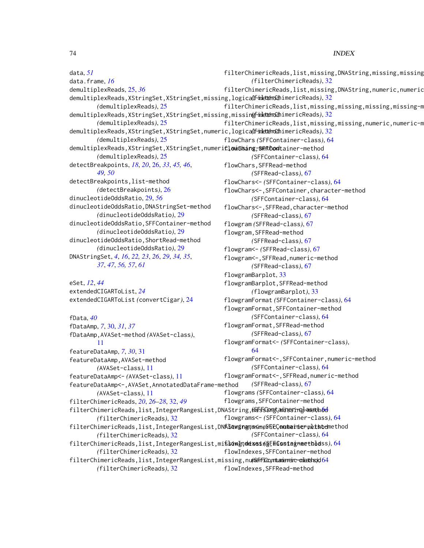74 INDEX

data, *[51](#page-50-0)* data.frame, *[16](#page-15-0)* demultiplexReads, [25,](#page-24-0) *[36](#page-35-0)* demultiplexReads,XStringSet,XStringSet,missing,logica(lf-inletternCchimericReads),[32](#page-31-0) *(*demultiplexReads*)*, [25](#page-24-0) demultiplexReads,XStringSet,XStringSet,missing,missin**gfineternach**imericReads),[32](#page-31-0) *(*demultiplexReads*)*, [25](#page-24-0) demultiplexReads,XStringSet,XStringSet,numeric,logica<mark>(finettehoCch</mark>imericReads),[32](#page-31-0) *(*demultiplexReads*)*, [25](#page-24-0) demultiplexReads,XStringSet,XStringSet,numeri**flowShang-BEFOod**tainer-method *(*demultiplexReads*)*, [25](#page-24-0) detectBreakpoints, *[18](#page-17-0)*, *[20](#page-19-0)*, [26,](#page-25-0) *[33](#page-32-0)*, *[45,](#page-44-0) [46](#page-45-0)*, *[49,](#page-48-0) [50](#page-49-0)* detectBreakpoints,list-method *(*detectBreakpoints*)*, [26](#page-25-0) dinucleotideOddsRatio, [29,](#page-28-0) *[56](#page-55-0)* dinucleotideOddsRatio,DNAStringSet-method *(*dinucleotideOddsRatio*)*, [29](#page-28-0) dinucleotideOddsRatio,SFFContainer-method *(*dinucleotideOddsRatio*)*, [29](#page-28-0) dinucleotideOddsRatio,ShortRead-method *(*dinucleotideOddsRatio*)*, [29](#page-28-0) DNAStringSet, *[4](#page-3-0)*, *[16](#page-15-0)*, *[22,](#page-21-0) [23](#page-22-0)*, *[26](#page-25-0)*, *[29](#page-28-0)*, *[34,](#page-33-0) [35](#page-34-0)*, *[37](#page-36-0)*, *[47](#page-46-0)*, *[56,](#page-55-0) [57](#page-56-0)*, *[61](#page-60-0)* eSet, *[12](#page-11-0)*, *[44](#page-43-0)* filterChimericReads,list,missing,DNAString,missing,missing *(*filterChimericReads*)*, [32](#page-31-0) filterChimericReads,list,missing,DNAString,numeric,numeric filterChimericReads,list,missing,missing,missing,missing-m filterChimericReads,list,missing,missing,numeric,numeric-m flowChars *(*SFFContainer-class*)*, [64](#page-63-0) *(*SFFContainer-class*)*, [64](#page-63-0) flowChars,SFFRead-method *(*SFFRead-class*)*, [67](#page-66-0) flowChars<- *(*SFFContainer-class*)*, [64](#page-63-0) flowChars<-,SFFContainer,character-method *(*SFFContainer-class*)*, [64](#page-63-0) flowChars<-,SFFRead,character-method *(*SFFRead-class*)*, [67](#page-66-0) flowgram *(*SFFRead-class*)*, [67](#page-66-0) flowgram,SFFRead-method *(*SFFRead-class*)*, [67](#page-66-0) flowgram<- *(*SFFRead-class*)*, [67](#page-66-0) flowgram<-,SFFRead,numeric-method *(*SFFRead-class*)*, [67](#page-66-0) flowgramBarplot, [33](#page-32-0) flowgramBarplot,SFFRead-method

> *(*flowgramBarplot*)*, [33](#page-32-0) flowgramFormat *(*SFFContainer-class*)*, [64](#page-63-0) flowgramFormat,SFFContainer-method

extendedCIGARToList, *[24](#page-23-0)* extendedCIGARToList *(*convertCigar*)*, [24](#page-23-0)

fData, *[40](#page-39-0)* fDataAmp, *[7](#page-6-0)*, [30,](#page-29-0) *[31](#page-30-0)*, *[37](#page-36-0)* fDataAmp,AVASet-method *(*AVASet-class*)*, [11](#page-10-0) featureDataAmp, *[7](#page-6-0)*, *[30](#page-29-0)*, [31](#page-30-0) featureDataAmp,AVASet-method *(*AVASet-class*)*, [11](#page-10-0) featureDataAmp<- *(*AVASet-class*)*, [11](#page-10-0) featureDataAmp<-,AVASet,AnnotatedDataFrame-method *(*AVASet-class*)*, [11](#page-10-0) filterChimericReads, *[20](#page-19-0)*, *[26–](#page-25-0)[28](#page-27-0)*, [32,](#page-31-0) *[49](#page-48-0)* filterChimericReads,list,IntegerRangesList,DNAString,m<del>issGongt,aninssringlanasthod</del> *(*filterChimericReads*)*, [32](#page-31-0) filterChimericReads,list,IntegerRangesList,DNASdwgnanneShEC,ontheinermethodnethod *(*filterChimericReads*)*, [32](#page-31-0) filterChimericReads,list,IntegerRangesList,missing,missing,missing-method flowIndexes *(*SFFContainer-class*)*, [64](#page-63-0) *(*filterChimericReads*)*, [32](#page-31-0) filterChimericReads,list,IntegerRangesList,missing,numeric,numeric-method *(*SFFContainer-class*)*, [64](#page-63-0) *(*filterChimericReads*)*, [32](#page-31-0) *(*SFFContainer-class*)*, [64](#page-63-0) flowgramFormat,SFFRead-method *(*SFFRead-class*)*, [67](#page-66-0) flowgramFormat<- *(*SFFContainer-class*)*, [64](#page-63-0) flowgramFormat<-,SFFContainer,numeric-method *(*SFFContainer-class*)*, [64](#page-63-0) flowgramFormat<-,SFFRead,numeric-method *(*SFFRead-class*)*, [67](#page-66-0) flowgrams *(*SFFContainer-class*)*, [64](#page-63-0) flowgrams,SFFContainer-method flowgrams<- *(*SFFContainer-class*)*, [64](#page-63-0) *(*SFFContainer-class*)*, [64](#page-63-0) flowIndexes,SFFContainer-method flowIndexes,SFFRead-method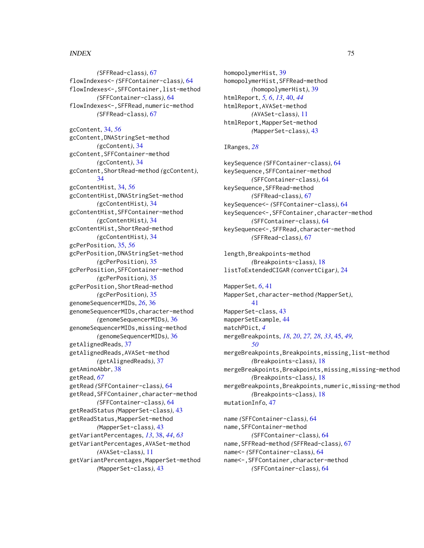## INDEX 75

*(*SFFRead-class*)*, [67](#page-66-0) flowIndexes<- *(*SFFContainer-class*)*, [64](#page-63-0) flowIndexes<-,SFFContainer,list-method *(*SFFContainer-class*)*, [64](#page-63-0) flowIndexes<-,SFFRead,numeric-method *(*SFFRead-class*)*, [67](#page-66-0) gcContent, [34,](#page-33-0) *[56](#page-55-0)* gcContent,DNAStringSet-method *(*gcContent*)*, [34](#page-33-0) gcContent,SFFContainer-method *(*gcContent*)*, [34](#page-33-0) gcContent,ShortRead-method *(*gcContent*)*, [34](#page-33-0) gcContentHist, [34,](#page-33-0) *[56](#page-55-0)* gcContentHist,DNAStringSet-method *(*gcContentHist*)*, [34](#page-33-0) gcContentHist,SFFContainer-method *(*gcContentHist*)*, [34](#page-33-0) gcContentHist,ShortRead-method *(*gcContentHist*)*, [34](#page-33-0) gcPerPosition, [35,](#page-34-0) *[56](#page-55-0)* gcPerPosition,DNAStringSet-method *(*gcPerPosition*)*, [35](#page-34-0) gcPerPosition,SFFContainer-method *(*gcPerPosition*)*, [35](#page-34-0) gcPerPosition,ShortRead-method *(*gcPerPosition*)*, [35](#page-34-0) genomeSequencerMIDs, *[26](#page-25-0)*, [36](#page-35-0) genomeSequencerMIDs,character-method *(*genomeSequencerMIDs*)*, [36](#page-35-0) genomeSequencerMIDs,missing-method *(*genomeSequencerMIDs*)*, [36](#page-35-0) getAlignedReads, [37](#page-36-0) getAlignedReads,AVASet-method *(*getAlignedReads*)*, [37](#page-36-0) getAminoAbbr, [38](#page-37-0) getRead, *[67](#page-66-0)* getRead *(*SFFContainer-class*)*, [64](#page-63-0) getRead,SFFContainer,character-method *(*SFFContainer-class*)*, [64](#page-63-0) getReadStatus *(*MapperSet-class*)*, [43](#page-42-0) getReadStatus,MapperSet-method *(*MapperSet-class*)*, [43](#page-42-0) getVariantPercentages, *[13](#page-12-0)*, [38,](#page-37-0) *[44](#page-43-0)*, *[63](#page-62-0)* getVariantPercentages,AVASet-method *(*AVASet-class*)*, [11](#page-10-0) getVariantPercentages,MapperSet-method *(*MapperSet-class*)*, [43](#page-42-0)

homopolymerHist, [39](#page-38-0) homopolymerHist,SFFRead-method *(*homopolymerHist*)*, [39](#page-38-0) htmlReport, *[5,](#page-4-0) [6](#page-5-0)*, *[13](#page-12-0)*, [40,](#page-39-0) *[44](#page-43-0)* htmlReport,AVASet-method *(*AVASet-class*)*, [11](#page-10-0) htmlReport,MapperSet-method *(*MapperSet-class*)*, [43](#page-42-0)

## IRanges, *[28](#page-27-0)*

keySequence *(*SFFContainer-class*)*, [64](#page-63-0) keySequence,SFFContainer-method *(*SFFContainer-class*)*, [64](#page-63-0) keySequence,SFFRead-method *(*SFFRead-class*)*, [67](#page-66-0) keySequence<- *(*SFFContainer-class*)*, [64](#page-63-0) keySequence<-,SFFContainer,character-method *(*SFFContainer-class*)*, [64](#page-63-0) keySequence<-,SFFRead,character-method *(*SFFRead-class*)*, [67](#page-66-0)

length,Breakpoints-method *(*Breakpoints-class*)*, [18](#page-17-0) listToExtendedCIGAR *(*convertCigar*)*, [24](#page-23-0)

MapperSet, *[6](#page-5-0)*, [41](#page-40-0) MapperSet,character-method *(*MapperSet*)*, [41](#page-40-0) MapperSet-class, [43](#page-42-0) mapperSetExample, [44](#page-43-0) matchPDict, *[4](#page-3-0)* mergeBreakpoints, *[18](#page-17-0)*, *[20](#page-19-0)*, *[27,](#page-26-0) [28](#page-27-0)*, *[33](#page-32-0)*, [45,](#page-44-0) *[49,](#page-48-0) [50](#page-49-0)* mergeBreakpoints,Breakpoints,missing,list-method *(*Breakpoints-class*)*, [18](#page-17-0) mergeBreakpoints,Breakpoints,missing,missing-method *(*Breakpoints-class*)*, [18](#page-17-0) mergeBreakpoints,Breakpoints,numeric,missing-method *(*Breakpoints-class*)*, [18](#page-17-0) mutationInfo, [47](#page-46-0)

name *(*SFFContainer-class*)*, [64](#page-63-0) name,SFFContainer-method *(*SFFContainer-class*)*, [64](#page-63-0) name,SFFRead-method *(*SFFRead-class*)*, [67](#page-66-0) name<- *(*SFFContainer-class*)*, [64](#page-63-0) name<-,SFFContainer,character-method *(*SFFContainer-class*)*, [64](#page-63-0)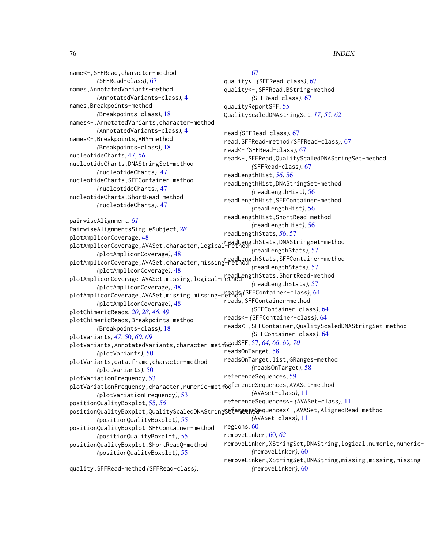name<-,SFFRead,character-method *(*SFFRead-class*)*, [67](#page-66-0) names,AnnotatedVariants-method *(*AnnotatedVariants-class*)*, [4](#page-3-0) names,Breakpoints-method *(*Breakpoints-class*)*, [18](#page-17-0) names<-,AnnotatedVariants,character-method *(*AnnotatedVariants-class*)*, [4](#page-3-0) names<-,Breakpoints,ANY-method *(*Breakpoints-class*)*, [18](#page-17-0) nucleotideCharts, [47,](#page-46-0) *[56](#page-55-0)* nucleotideCharts,DNAStringSet-method *(*nucleotideCharts*)*, [47](#page-46-0) nucleotideCharts,SFFContainer-method *(*nucleotideCharts*)*, [47](#page-46-0) nucleotideCharts,ShortRead-method *(*nucleotideCharts*)*, [47](#page-46-0) pairwiseAlignment, *[61](#page-60-0)* PairwiseAlignmentsSingleSubject, *[28](#page-27-0)* plotAmpliconCoverage, [48](#page-47-0) plotAmpliconcoverage, ho<br>plotAmpliconCoverage,AVASet,character,logical-method *(*plotAmpliconCoverage*)*, [48](#page-47-0) plotAmpliconCoverage,AVASet,character,missing-method *(*plotAmpliconCoverage*)*, [48](#page-47-0) plotAmpliconCoverage,AVASet,missing,logical-method *(*plotAmpliconCoverage*)*, [48](#page-47-0) plotAmpliconCoverage,AVASet,missing,missing-method reads *(*SFFContainer-class*)*, [64](#page-63-0) *(*plotAmpliconCoverage*)*, [48](#page-47-0) plotChimericReads, *[20](#page-19-0)*, *[28](#page-27-0)*, *[46](#page-45-0)*, [49](#page-48-0) plotChimericReads,Breakpoints-method *(*Breakpoints-class*)*, [18](#page-17-0) plotVariants, *[47](#page-46-0)*, [50,](#page-49-0) *[60](#page-59-0)*, *[69](#page-68-0)* .<br>plotVariants,AnnotatedVariants,character-meth $\mathrm{6\hat{a}}$ dSFF,[57,](#page-56-0)*[64](#page-63-0),[66](#page-65-0),[69,](#page-68-0)[70](#page-69-0) (*plotVariants*)*, [50](#page-49-0) plotVariants,data.frame,character-method *(*plotVariants*)*, [50](#page-49-0) plotVariationFrequency, [53](#page-52-0) .<br>plotVariationFrequency,character,numeric-meth $6$ @ferenceSequences,AVASet-method *(*plotVariationFrequency*)*, [53](#page-52-0) positionQualityBoxplot, [55,](#page-54-0) *[56](#page-55-0)* positionQualityBoxplot,QualityScaledDNAString**Set<sup>e</sup>mene@S**equences<-,AVASet,AlignedRead-method *(*positionQualityBoxplot*)*, [55](#page-54-0) positionQualityBoxplot,SFFContainer-method *(*positionQualityBoxplot*)*, [55](#page-54-0) positionQualityBoxplot,ShortReadQ-method *(*positionQualityBoxplot*)*, [55](#page-54-0) [67](#page-66-0) quality<- *(*SFFRead-class*)*, [67](#page-66-0) quality<-,SFFRead,BString-method *(*SFFRead-class*)*, [67](#page-66-0) qualityReportSFF, [55](#page-54-0) QualityScaledDNAStringSet, *[17](#page-16-0)*, *[55](#page-54-0)*, *[62](#page-61-0)* read *(*SFFRead-class*)*, [67](#page-66-0) read,SFFRead-method *(*SFFRead-class*)*, [67](#page-66-0) read<- *(*SFFRead-class*)*, [67](#page-66-0) read<-,SFFRead,QualityScaledDNAStringSet-method *(*SFFRead-class*)*, [67](#page-66-0) readLengthHist, *[56](#page-55-0)*, [56](#page-55-0) readLengthHist,DNAStringSet-method *(*readLengthHist*)*, [56](#page-55-0) readLengthHist,SFFContainer-method *(*readLengthHist*)*, [56](#page-55-0) readLengthHist,ShortRead-method *(*readLengthHist*)*, [56](#page-55-0) readLengthStats, *[56](#page-55-0)*, [57](#page-56-0) *(*readLengthStats*)*, [57](#page-56-0) *(*readLengthStats*)*, [57](#page-56-0) *(*readLengthStats*)*, [57](#page-56-0) reads,SFFContainer-method *(*SFFContainer-class*)*, [64](#page-63-0) reads<- *(*SFFContainer-class*)*, [64](#page-63-0) reads<-,SFFContainer,QualityScaledDNAStringSet-method *(*SFFContainer-class*)*, [64](#page-63-0) readsOnTarget, [58](#page-57-0) readsOnTarget,list,GRanges-method *(*readsOnTarget*)*, [58](#page-57-0) referenceSequences, [59](#page-58-0) *(*AVASet-class*)*, [11](#page-10-0) referenceSequences<- *(*AVASet-class*)*, [11](#page-10-0) *(*AVASet-class*)*, [11](#page-10-0) regions, [60](#page-59-0) removeLinker, [60,](#page-59-0) *[62](#page-61-0)* removeLinker,XStringSet,DNAString,logical,numeric,numeric-*(*removeLinker*)*, [60](#page-59-0)

quality,SFFRead-method *(*SFFRead-class*)*,

removeLinker,XStringSet,DNAString,missing,missing,missing-*(*removeLinker*)*, [60](#page-59-0)